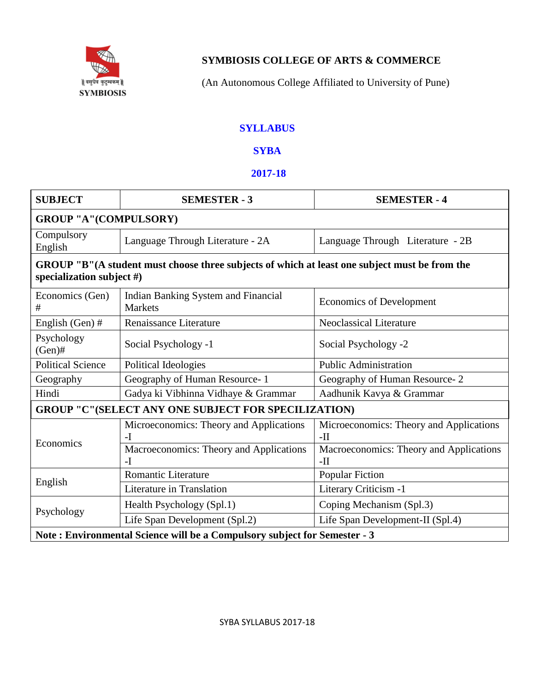

# **SYMBIOSIS COLLEGE OF ARTS & COMMERCE**

(An Autonomous College Affiliated to University of Pune)

## **SYLLABUS**

## **SYBA**

### **2017-18**

| <b>SUBJECT</b>                                                            | <b>SEMESTER - 3</b>                                                                           | <b>SEMESTER - 4</b>                              |  |  |
|---------------------------------------------------------------------------|-----------------------------------------------------------------------------------------------|--------------------------------------------------|--|--|
| <b>GROUP "A"(COMPULSORY)</b>                                              |                                                                                               |                                                  |  |  |
| Compulsory<br>English                                                     | Language Through Literature - 2A                                                              | Language Through Literature - 2B                 |  |  |
| specialization subject $#$ )                                              | GROUP "B"(A student must choose three subjects of which at least one subject must be from the |                                                  |  |  |
| Economics (Gen)<br>#                                                      | <b>Indian Banking System and Financial</b><br><b>Markets</b>                                  | <b>Economics of Development</b>                  |  |  |
| English (Gen) #                                                           | Renaissance Literature                                                                        | <b>Neoclassical Literature</b>                   |  |  |
| Psychology<br>$(Gen)$ #                                                   | Social Psychology -1                                                                          | Social Psychology -2                             |  |  |
| <b>Political Science</b>                                                  | Political Ideologies                                                                          | <b>Public Administration</b>                     |  |  |
| Geography                                                                 | Geography of Human Resource-1                                                                 | Geography of Human Resource-2                    |  |  |
| Hindi                                                                     | Gadya ki Vibhinna Vidhaye & Grammar                                                           | Aadhunik Kavya & Grammar                         |  |  |
|                                                                           | <b>GROUP "C"(SELECT ANY ONE SUBJECT FOR SPECILIZATION)</b>                                    |                                                  |  |  |
| Economics                                                                 | Microeconomics: Theory and Applications<br>$-I$                                               | Microeconomics: Theory and Applications<br>$-II$ |  |  |
|                                                                           | Macroeconomics: Theory and Applications<br>$-I$                                               | Macroeconomics: Theory and Applications<br>$-II$ |  |  |
|                                                                           | <b>Romantic Literature</b>                                                                    | <b>Popular Fiction</b>                           |  |  |
| English                                                                   | Literature in Translation                                                                     | Literary Criticism -1                            |  |  |
| Psychology                                                                | Health Psychology (Spl.1)                                                                     | Coping Mechanism (Spl.3)                         |  |  |
|                                                                           | Life Span Development (Spl.2)                                                                 | Life Span Development-II (Spl.4)                 |  |  |
| Note: Environmental Science will be a Compulsory subject for Semester - 3 |                                                                                               |                                                  |  |  |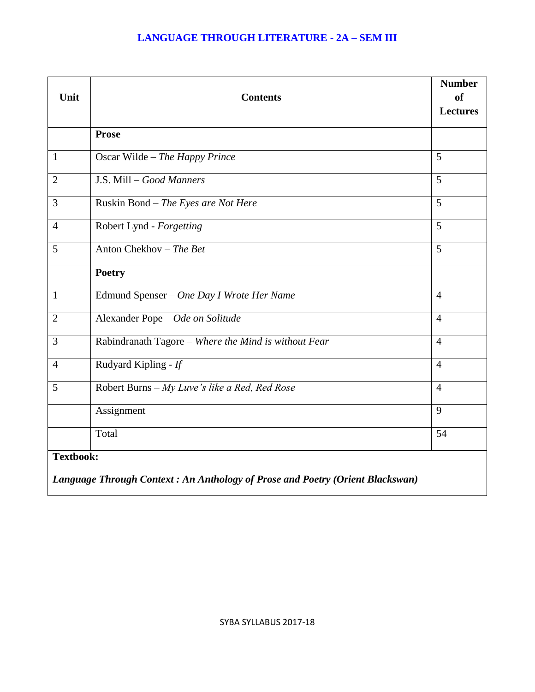### **LANGUAGE THROUGH LITERATURE - 2A – SEM III**

| Unit             | <b>Contents</b>                                                               | <b>Number</b><br><b>of</b><br><b>Lectures</b> |
|------------------|-------------------------------------------------------------------------------|-----------------------------------------------|
|                  | Prose                                                                         |                                               |
| $\mathbf{1}$     | Oscar Wilde - The Happy Prince                                                | 5                                             |
| $\overline{2}$   | J.S. Mill - Good Manners                                                      | 5                                             |
| 3                | Ruskin Bond - The Eyes are Not Here                                           | $\overline{5}$                                |
| $\overline{4}$   | Robert Lynd - Forgetting                                                      | 5                                             |
| 5                | Anton Chekhov - The Bet                                                       | 5                                             |
|                  | <b>Poetry</b>                                                                 |                                               |
| $\mathbf{1}$     | Edmund Spenser - One Day I Wrote Her Name                                     | $\overline{4}$                                |
| $\overline{2}$   | Alexander Pope - Ode on Solitude                                              | $\overline{4}$                                |
| 3                | Rabindranath Tagore - Where the Mind is without Fear                          | $\overline{4}$                                |
| $\overline{4}$   | Rudyard Kipling - If                                                          | $\overline{4}$                                |
| 5                | Robert Burns - My Luve's like a Red, Red Rose                                 | $\overline{4}$                                |
|                  | Assignment                                                                    | 9                                             |
|                  | Total                                                                         | 54                                            |
| <b>Textbook:</b> | Language Through Context: An Anthology of Prose and Poetry (Orient Blackswan) |                                               |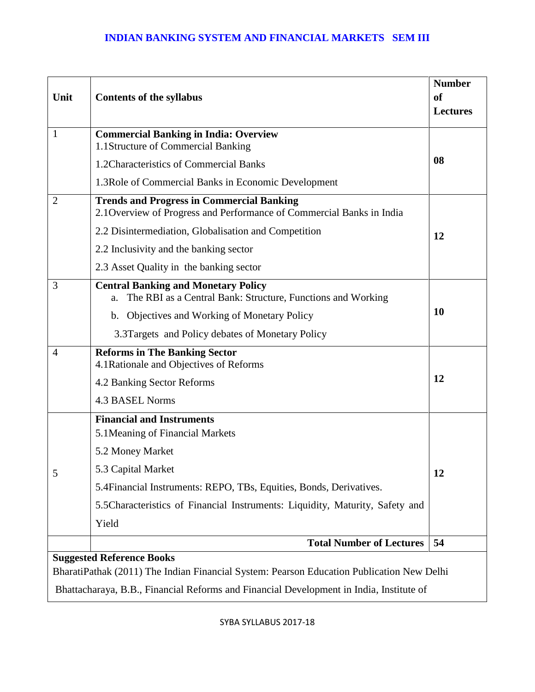### **INDIAN BANKING SYSTEM AND FINANCIAL MARKETS SEM III**

|                |                                                                                                                           | <b>Number</b>   |  |
|----------------|---------------------------------------------------------------------------------------------------------------------------|-----------------|--|
| Unit           | <b>Contents of the syllabus</b>                                                                                           | <b>of</b>       |  |
|                |                                                                                                                           | <b>Lectures</b> |  |
| $\mathbf{1}$   | <b>Commercial Banking in India: Overview</b><br>1.1Structure of Commercial Banking                                        |                 |  |
|                | 1.2 Characteristics of Commercial Banks                                                                                   | 08              |  |
|                | 1.3 Role of Commercial Banks in Economic Development                                                                      |                 |  |
| $\overline{2}$ | <b>Trends and Progress in Commercial Banking</b><br>2.1 Overview of Progress and Performance of Commercial Banks in India |                 |  |
|                | 2.2 Disintermediation, Globalisation and Competition                                                                      | 12              |  |
|                | 2.2 Inclusivity and the banking sector                                                                                    |                 |  |
|                | 2.3 Asset Quality in the banking sector                                                                                   |                 |  |
| 3              | <b>Central Banking and Monetary Policy</b><br>The RBI as a Central Bank: Structure, Functions and Working<br>a.           |                 |  |
|                | b. Objectives and Working of Monetary Policy                                                                              | <b>10</b>       |  |
|                | 3.3Targets and Policy debates of Monetary Policy                                                                          |                 |  |
| $\overline{4}$ | <b>Reforms in The Banking Sector</b><br>4.1 Rationale and Objectives of Reforms                                           |                 |  |
|                | 4.2 Banking Sector Reforms                                                                                                | 12              |  |
|                | <b>4.3 BASEL Norms</b>                                                                                                    |                 |  |
|                | <b>Financial and Instruments</b>                                                                                          |                 |  |
|                | 5.1 Meaning of Financial Markets                                                                                          |                 |  |
|                | 5.2 Money Market                                                                                                          |                 |  |
| 5              | 5.3 Capital Market                                                                                                        | 12              |  |
|                | 5.4 Financial Instruments: REPO, TBs, Equities, Bonds, Derivatives.                                                       |                 |  |
|                | 5.5 Characteristics of Financial Instruments: Liquidity, Maturity, Safety and                                             |                 |  |
|                | Yield                                                                                                                     |                 |  |
|                | <b>Total Number of Lectures</b>                                                                                           | 54              |  |
|                | <b>Suggested Reference Books</b>                                                                                          |                 |  |
|                | BharatiPathak (2011) The Indian Financial System: Pearson Education Publication New Delhi                                 |                 |  |
|                | Bhattacharaya, B.B., Financial Reforms and Financial Development in India, Institute of                                   |                 |  |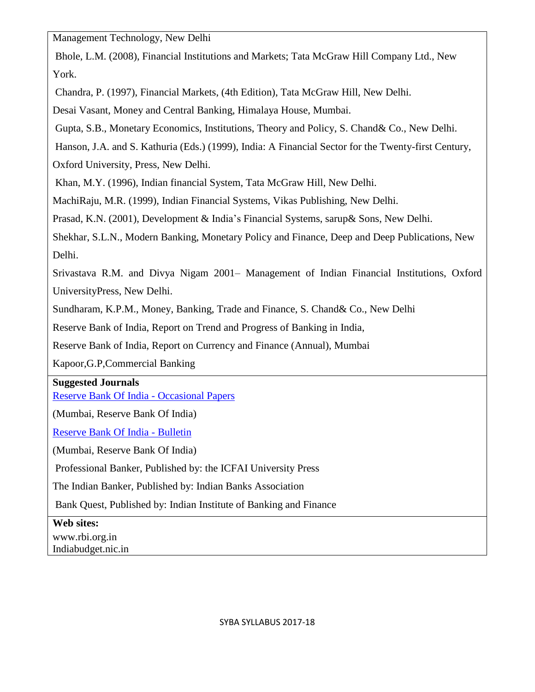Management Technology, New Delhi

Bhole, L.M. (2008), Financial Institutions and Markets; Tata McGraw Hill Company Ltd., New York.

Chandra, P. (1997), Financial Markets, (4th Edition), Tata McGraw Hill, New Delhi.

Desai Vasant, Money and Central Banking, Himalaya House, Mumbai.

Gupta, S.B., Monetary Economics, Institutions, Theory and Policy, S. Chand& Co., New Delhi.

Hanson, J.A. and S. Kathuria (Eds.) (1999), India: A Financial Sector for the Twenty-first Century,

Oxford University, Press, New Delhi.

Khan, M.Y. (1996), Indian financial System, Tata McGraw Hill, New Delhi.

MachiRaju, M.R. (1999), Indian Financial Systems, Vikas Publishing, New Delhi.

Prasad, K.N. (2001), Development & India's Financial Systems, sarup& Sons, New Delhi.

Shekhar, S.L.N., Modern Banking, Monetary Policy and Finance, Deep and Deep Publications, New Delhi.

Srivastava R.M. and Divya Nigam 2001– Management of Indian Financial Institutions, Oxford UniversityPress, New Delhi.

Sundharam, K.P.M., Money, Banking, Trade and Finance, S. Chand& Co., New Delhi

Reserve Bank of India, Report on Trend and Progress of Banking in India,

Reserve Bank of India, Report on Currency and Finance (Annual), Mumbai

Kapoor,G.P,Commercial Banking

## **Suggested Journals**

[Reserve Bank Of India -](http://www.rbi.org.in/scripts/QuarterlyPublications.aspx?head=Occasional%20Papers) Occasional Papers

(Mumbai, Reserve Bank Of India)

[Reserve Bank Of India -](http://www.rbi.org.in/scripts/BS_ViewBulletin.aspx) Bulletin

(Mumbai, Reserve Bank Of India)

Professional Banker, Published by: the ICFAI University Press

The Indian Banker, Published by: Indian Banks Association

Bank Quest, Published by: Indian Institute of Banking and Finance

**Web sites:**

www.rbi.org.in Indiabudget.nic.in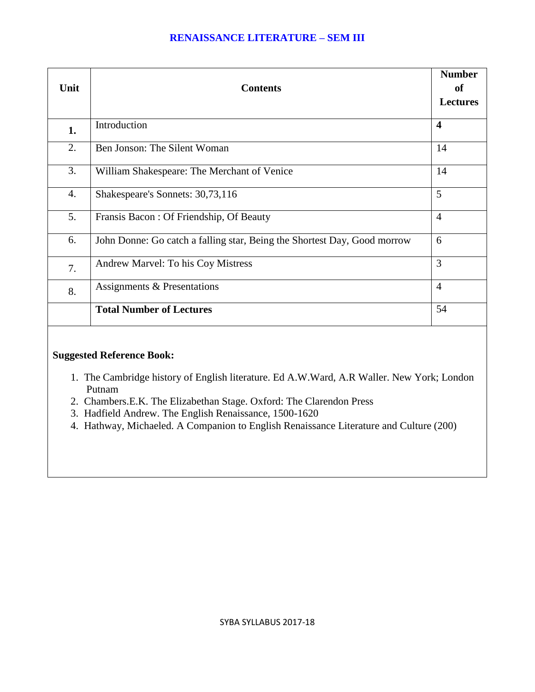### **RENAISSANCE LITERATURE – SEM III**

| Unit             | <b>Contents</b>                                                          | <b>Number</b><br>of<br><b>Lectures</b> |
|------------------|--------------------------------------------------------------------------|----------------------------------------|
| 1.               | Introduction                                                             | $\overline{\mathbf{4}}$                |
| 2.               | Ben Jonson: The Silent Woman                                             | 14                                     |
| 3.               | William Shakespeare: The Merchant of Venice                              | 14                                     |
| $\overline{4}$ . | Shakespeare's Sonnets: 30,73,116                                         | 5                                      |
| 5.               | Fransis Bacon: Of Friendship, Of Beauty                                  | $\overline{4}$                         |
| 6.               | John Donne: Go catch a falling star, Being the Shortest Day, Good morrow | 6                                      |
| 7.               | Andrew Marvel: To his Coy Mistress                                       | 3                                      |
| 8.               | Assignments & Presentations                                              | $\overline{4}$                         |
|                  | <b>Total Number of Lectures</b>                                          | 54                                     |

### **Suggested Reference Book:**

- 1. The Cambridge history of English literature. Ed A.W.Ward, A.R Waller. New York; London Putnam
- 2. Chambers.E.K. The Elizabethan Stage. Oxford: The Clarendon Press
- 3. Hadfield Andrew. The English Renaissance, 1500-1620
- 4. Hathway, Michaeled. A Companion to English Renaissance Literature and Culture (200)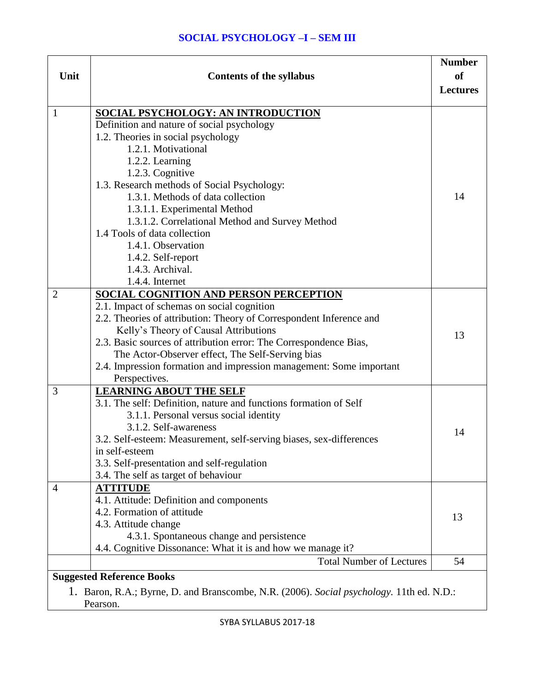### **SOCIAL PSYCHOLOGY –I – SEM III**

| Unit<br><b>Contents of the syllabus</b>                                                              | <b>Number</b><br><b>of</b><br><b>Lectures</b> |
|------------------------------------------------------------------------------------------------------|-----------------------------------------------|
| <b>SOCIAL PSYCHOLOGY: AN INTRODUCTION</b><br>1                                                       |                                               |
| Definition and nature of social psychology                                                           |                                               |
| 1.2. Theories in social psychology                                                                   |                                               |
| 1.2.1. Motivational                                                                                  |                                               |
| 1.2.2. Learning                                                                                      |                                               |
| 1.2.3. Cognitive                                                                                     |                                               |
| 1.3. Research methods of Social Psychology:<br>1.3.1. Methods of data collection                     | 14                                            |
|                                                                                                      |                                               |
| 1.3.1.1. Experimental Method<br>1.3.1.2. Correlational Method and Survey Method                      |                                               |
| 1.4 Tools of data collection                                                                         |                                               |
| 1.4.1. Observation                                                                                   |                                               |
| 1.4.2. Self-report                                                                                   |                                               |
| 1.4.3. Archival.                                                                                     |                                               |
| 1.4.4. Internet                                                                                      |                                               |
| $\overline{2}$<br>SOCIAL COGNITION AND PERSON PERCEPTION                                             |                                               |
| 2.1. Impact of schemas on social cognition                                                           |                                               |
| 2.2. Theories of attribution: Theory of Correspondent Inference and                                  |                                               |
| Kelly's Theory of Causal Attributions                                                                | 13                                            |
| 2.3. Basic sources of attribution error: The Correspondence Bias,                                    |                                               |
| The Actor-Observer effect, The Self-Serving bias                                                     |                                               |
| 2.4. Impression formation and impression management: Some important                                  |                                               |
| Perspectives.                                                                                        |                                               |
| 3<br><b>LEARNING ABOUT THE SELF</b>                                                                  |                                               |
| 3.1. The self: Definition, nature and functions formation of Self                                    |                                               |
| 3.1.1. Personal versus social identity                                                               |                                               |
| 3.1.2. Self-awareness                                                                                | 14                                            |
| 3.2. Self-esteem: Measurement, self-serving biases, sex-differences                                  |                                               |
| in self-esteem                                                                                       |                                               |
| 3.3. Self-presentation and self-regulation                                                           |                                               |
| 3.4. The self as target of behaviour<br><b>ATTITUDE</b>                                              |                                               |
| $\overline{4}$<br>4.1. Attitude: Definition and components                                           |                                               |
| 4.2. Formation of attitude                                                                           |                                               |
| 4.3. Attitude change                                                                                 | 13                                            |
| 4.3.1. Spontaneous change and persistence                                                            |                                               |
| 4.4. Cognitive Dissonance: What it is and how we manage it?                                          |                                               |
| <b>Total Number of Lectures</b>                                                                      | 54                                            |
| <b>Suggested Reference Books</b>                                                                     |                                               |
|                                                                                                      |                                               |
| 1. Baron, R.A.; Byrne, D. and Branscombe, N.R. (2006). Social psychology. 11th ed. N.D.:<br>Pearson. |                                               |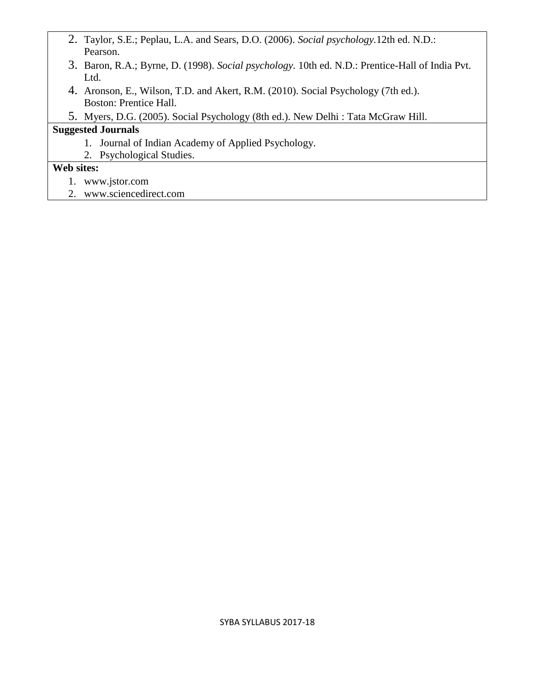- 2. Taylor, S.E.; Peplau, L.A. and Sears, D.O. (2006). *Social psychology.*12th ed. N.D.: Pearson.
- 3. Baron, R.A.; Byrne, D. (1998). *Social psychology.* 10th ed. N.D.: Prentice-Hall of India Pvt. Ltd.
- 4. Aronson, E., Wilson, T.D. and Akert, R.M. (2010). Social Psychology (7th ed.). Boston: Prentice Hall.
- 5. Myers, D.G. (2005). Social Psychology (8th ed.). New Delhi : Tata McGraw Hill.

## **Suggested Journals**

- 1. Journal of Indian Academy of Applied Psychology.
- 2. Psychological Studies.

### **Web sites:**

- 1. www.jstor.com
- 2. www.sciencedirect.com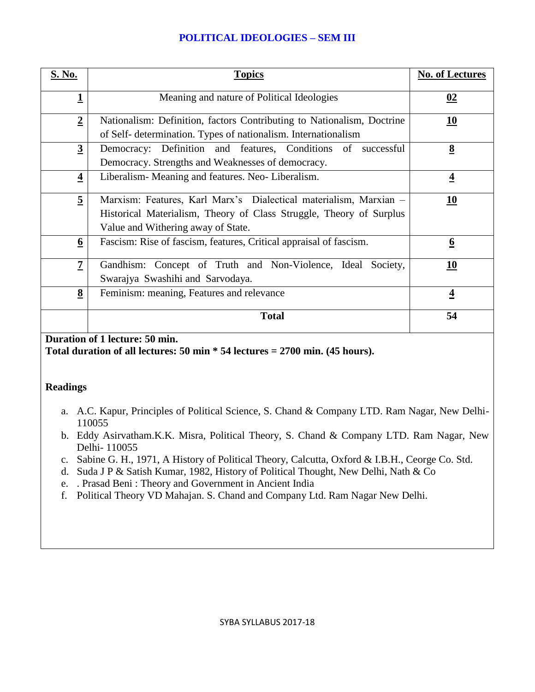### **POLITICAL IDEOLOGIES – SEM III**

| S. No.                  | <b>Topics</b>                                                                                                                                                                  | <b>No. of Lectures</b> |
|-------------------------|--------------------------------------------------------------------------------------------------------------------------------------------------------------------------------|------------------------|
| $\overline{\mathbf{1}}$ | Meaning and nature of Political Ideologies                                                                                                                                     | 02                     |
| $\overline{2}$          | Nationalism: Definition, factors Contributing to Nationalism, Doctrine<br>of Self- determination. Types of nationalism. Internationalism                                       | <u>10</u>              |
| $\overline{3}$          | Democracy: Definition and features, Conditions of successful<br>Democracy. Strengths and Weaknesses of democracy.                                                              | $\underline{8}$        |
| $\overline{\mathbf{4}}$ | Liberalism-Meaning and features. Neo-Liberalism.                                                                                                                               | $\overline{4}$         |
| $\overline{5}$          | Marxism: Features, Karl Marx's Dialectical materialism, Marxian -<br>Historical Materialism, Theory of Class Struggle, Theory of Surplus<br>Value and Withering away of State. | <b>10</b>              |
| 6                       | Fascism: Rise of fascism, features, Critical appraisal of fascism.                                                                                                             | 6                      |
| $\overline{z}$          | Gandhism: Concept of Truth and Non-Violence, Ideal Society,<br>Swarajya Swashihi and Sarvodaya.                                                                                | 10                     |
| $\underline{8}$         | Feminism: meaning, Features and relevance                                                                                                                                      | $\overline{4}$         |
|                         | <b>Total</b>                                                                                                                                                                   | 54                     |

### **Duration of 1 lecture: 50 min.**

**Total duration of all lectures: 50 min \* 54 lectures = 2700 min. (45 hours).**

### **Readings**

- a. A.C. Kapur, Principles of Political Science, S. Chand & Company LTD. Ram Nagar, New Delhi-110055
- b. Eddy Asirvatham.K.K. Misra, Political Theory, S. Chand & Company LTD. Ram Nagar, New Delhi- 110055
- c. Sabine G. H., 1971, A History of Political Theory, Calcutta, Oxford & I.B.H., Ceorge Co. Std.
- d. Suda J P & Satish Kumar, 1982, History of Political Thought, New Delhi, Nath & Co
- e. . Prasad Beni : Theory and Government in Ancient India
- f. Political Theory VD Mahajan. S. Chand and Company Ltd. Ram Nagar New Delhi.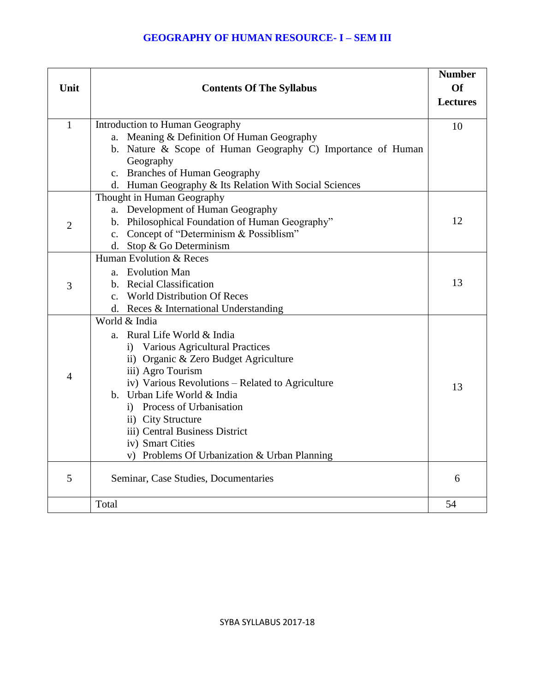| Unit           | <b>Contents Of The Syllabus</b>                                                             | <b>Number</b><br><b>Of</b><br><b>Lectures</b> |
|----------------|---------------------------------------------------------------------------------------------|-----------------------------------------------|
| $\mathbf{1}$   | Introduction to Human Geography                                                             | 10                                            |
|                | a. Meaning & Definition Of Human Geography                                                  |                                               |
|                | b. Nature & Scope of Human Geography C) Importance of Human                                 |                                               |
|                | Geography                                                                                   |                                               |
|                | c. Branches of Human Geography                                                              |                                               |
|                | d. Human Geography & Its Relation With Social Sciences                                      |                                               |
|                | Thought in Human Geography                                                                  |                                               |
|                | a. Development of Human Geography                                                           | 12                                            |
| $\overline{2}$ | b. Philosophical Foundation of Human Geography"<br>c. Concept of "Determinism & Possiblism" |                                               |
|                | d. Stop & Go Determinism                                                                    |                                               |
|                | Human Evolution & Reces                                                                     |                                               |
|                | a. Evolution Man                                                                            |                                               |
| 3              | b. Recial Classification                                                                    | 13                                            |
|                | c. World Distribution Of Reces                                                              |                                               |
|                | d. Reces & International Understanding                                                      |                                               |
|                | World & India                                                                               |                                               |
|                | a. Rural Life World & India                                                                 |                                               |
|                | <b>Various Agricultural Practices</b><br>i)                                                 |                                               |
|                | ii) Organic & Zero Budget Agriculture                                                       |                                               |
| 4              | iii) Agro Tourism                                                                           |                                               |
|                | iv) Various Revolutions - Related to Agriculture                                            | 13                                            |
|                | b. Urban Life World & India                                                                 |                                               |
|                | i) Process of Urbanisation                                                                  |                                               |
|                | ii) City Structure                                                                          |                                               |
|                | iii) Central Business District                                                              |                                               |
|                | iv) Smart Cities                                                                            |                                               |
|                | v) Problems Of Urbanization & Urban Planning                                                |                                               |
| 5              | Seminar, Case Studies, Documentaries                                                        | 6                                             |
|                | Total                                                                                       | 54                                            |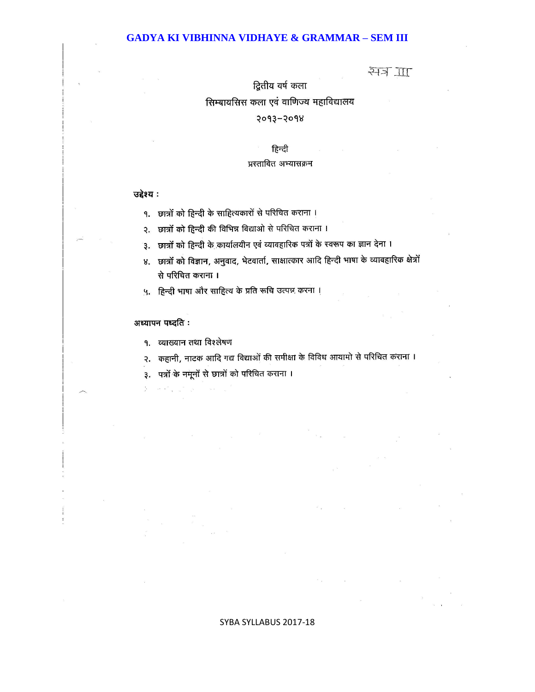#### **GADYA KI VIBHINNA VIDHAYE & GRAMMAR – SEM III**

### स्मेत्र <u>गा</u>

द्वितीय वर्ष कला

### सिम्बायसिस कला एवं वाणिज्य महाविद्यालय

#### 5003-5008

#### हिन्दी

#### प्रस्तावित अभ्यासक्रम

#### उद्देश्य:

१. छात्रों को हिन्दी के साहित्यकारों से परिचित कराना ।

२. छात्रों को हिन्दी की विभिन्न विद्याओं से परिचित कराना ।

३. छात्रों को हिन्दी के कार्यालयीन एवं व्यावहारिक पत्रों के स्वरूप का ज्ञान देना ।

४. छात्रों को विज्ञान, अनुवाद, भेटवार्ता, साक्षात्कार आदि हिन्दी भाषा के व्यावहारिक क्षेत्रों से परिचित कराना ।

५. हिन्दी भाषा और साहित्य के प्रति रूचि उत्पन्न करना ।

#### अध्यापन पध्दति :

 $\approx \alpha^2 \frac{1}{2} - \frac{\beta}{2}$ 

१. व्याख्यान तथा विश्लेषण

२. कहानी, नाटक आदि गद्य विद्याओं की समीक्षा के विविध आयामो से परिचित कराना ।

३. पत्रों के नमूनों से छात्रों को परिचित कराना ।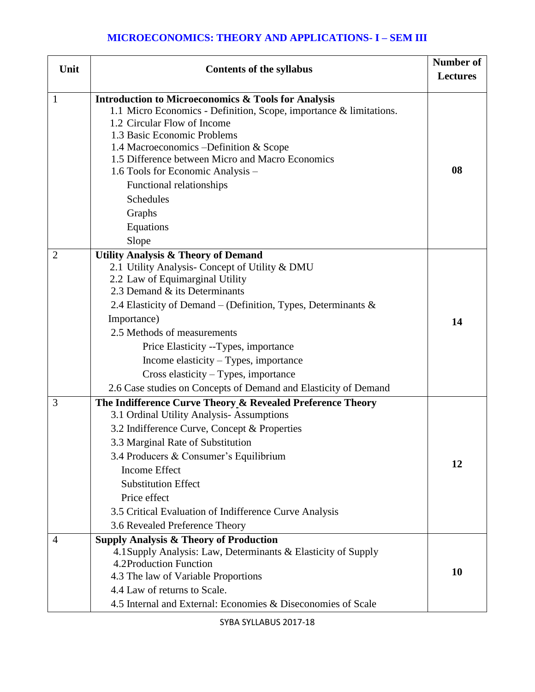### **MICROECONOMICS: THEORY AND APPLICATIONS- I – SEM III**

| Unit         | <b>Contents of the syllabus</b>                                                                                                                                                                                                                                                                                                                                                                                                                                                      | Number of<br><b>Lectures</b> |
|--------------|--------------------------------------------------------------------------------------------------------------------------------------------------------------------------------------------------------------------------------------------------------------------------------------------------------------------------------------------------------------------------------------------------------------------------------------------------------------------------------------|------------------------------|
| $\mathbf{1}$ | <b>Introduction to Microeconomics &amp; Tools for Analysis</b><br>1.1 Micro Economics - Definition, Scope, importance & limitations.<br>1.2 Circular Flow of Income<br>1.3 Basic Economic Problems<br>1.4 Macroeconomics – Definition & Scope<br>1.5 Difference between Micro and Macro Economics<br>1.6 Tools for Economic Analysis -<br>Functional relationships<br><b>Schedules</b><br>Graphs<br>Equations<br>Slope                                                               | 08                           |
| 2            | <b>Utility Analysis &amp; Theory of Demand</b><br>2.1 Utility Analysis- Concept of Utility & DMU<br>2.2 Law of Equimarginal Utility<br>2.3 Demand & its Determinants<br>2.4 Elasticity of Demand – (Definition, Types, Determinants $\&$<br>Importance)<br>2.5 Methods of measurements<br>Price Elasticity --Types, importance<br>Income elasticity $-$ Types, importance<br>Cross elasticity - Types, importance<br>2.6 Case studies on Concepts of Demand and Elasticity of Demand | 14                           |
| 3            | The Indifference Curve Theory & Revealed Preference Theory<br>3.1 Ordinal Utility Analysis-Assumptions<br>3.2 Indifference Curve, Concept & Properties<br>3.3 Marginal Rate of Substitution<br>3.4 Producers & Consumer's Equilibrium<br><b>Income Effect</b><br><b>Substitution Effect</b><br>Price effect<br>3.5 Critical Evaluation of Indifference Curve Analysis<br>3.6 Revealed Preference Theory                                                                              | 12                           |
| 4            | <b>Supply Analysis &amp; Theory of Production</b><br>4.1 Supply Analysis: Law, Determinants & Elasticity of Supply<br>4.2Production Function<br>4.3 The law of Variable Proportions<br>4.4 Law of returns to Scale.<br>4.5 Internal and External: Economies & Diseconomies of Scale                                                                                                                                                                                                  | 10                           |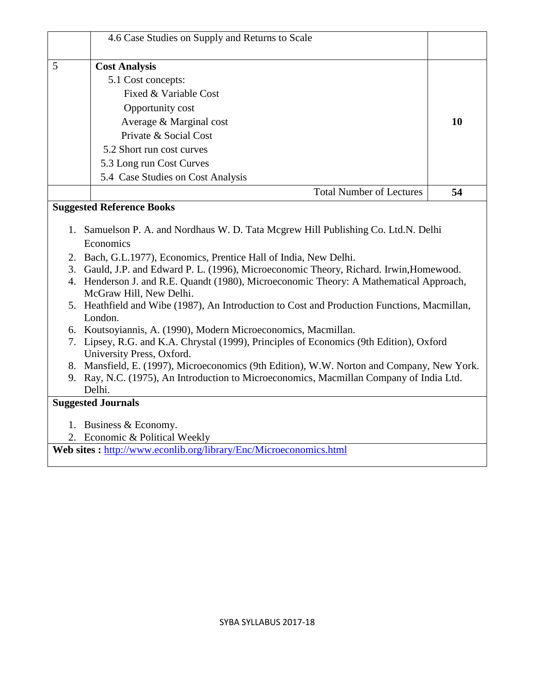| 4.6 Case Studies on Supply and Returns to Scale                                                                                                                                                                                                                                                                                                                                                                                                                                                                                                                                                                                                                                                                                                                                                                                                                                     |    |
|-------------------------------------------------------------------------------------------------------------------------------------------------------------------------------------------------------------------------------------------------------------------------------------------------------------------------------------------------------------------------------------------------------------------------------------------------------------------------------------------------------------------------------------------------------------------------------------------------------------------------------------------------------------------------------------------------------------------------------------------------------------------------------------------------------------------------------------------------------------------------------------|----|
| 5<br><b>Cost Analysis</b>                                                                                                                                                                                                                                                                                                                                                                                                                                                                                                                                                                                                                                                                                                                                                                                                                                                           |    |
| 5.1 Cost concepts:                                                                                                                                                                                                                                                                                                                                                                                                                                                                                                                                                                                                                                                                                                                                                                                                                                                                  |    |
| Fixed & Variable Cost                                                                                                                                                                                                                                                                                                                                                                                                                                                                                                                                                                                                                                                                                                                                                                                                                                                               |    |
| Opportunity cost                                                                                                                                                                                                                                                                                                                                                                                                                                                                                                                                                                                                                                                                                                                                                                                                                                                                    |    |
| Average & Marginal cost                                                                                                                                                                                                                                                                                                                                                                                                                                                                                                                                                                                                                                                                                                                                                                                                                                                             | 10 |
| Private & Social Cost                                                                                                                                                                                                                                                                                                                                                                                                                                                                                                                                                                                                                                                                                                                                                                                                                                                               |    |
| 5.2 Short run cost curves                                                                                                                                                                                                                                                                                                                                                                                                                                                                                                                                                                                                                                                                                                                                                                                                                                                           |    |
| 5.3 Long run Cost Curves                                                                                                                                                                                                                                                                                                                                                                                                                                                                                                                                                                                                                                                                                                                                                                                                                                                            |    |
| 5.4 Case Studies on Cost Analysis                                                                                                                                                                                                                                                                                                                                                                                                                                                                                                                                                                                                                                                                                                                                                                                                                                                   |    |
| <b>Total Number of Lectures</b>                                                                                                                                                                                                                                                                                                                                                                                                                                                                                                                                                                                                                                                                                                                                                                                                                                                     | 54 |
| <b>Suggested Reference Books</b>                                                                                                                                                                                                                                                                                                                                                                                                                                                                                                                                                                                                                                                                                                                                                                                                                                                    |    |
| Samuelson P. A. and Nordhaus W. D. Tata Mcgrew Hill Publishing Co. Ltd.N. Delhi<br>1.<br>Economics<br>2. Bach, G.L.1977), Economics, Prentice Hall of India, New Delhi.<br>3. Gauld, J.P. and Edward P. L. (1996), Microeconomic Theory, Richard. Irwin, Homewood.<br>4. Henderson J. and R.E. Quandt (1980), Microeconomic Theory: A Mathematical Approach,<br>McGraw Hill, New Delhi.<br>5. Heathfield and Wibe (1987), An Introduction to Cost and Production Functions, Macmillan,<br>London.<br>6. Koutsoyiannis, A. (1990), Modern Microeconomics, Macmillan.<br>7. Lipsey, R.G. and K.A. Chrystal (1999), Principles of Economics (9th Edition), Oxford<br>University Press, Oxford.<br>8. Mansfield, E. (1997), Microeconomics (9th Edition), W.W. Norton and Company, New York.<br>9. Ray, N.C. (1975), An Introduction to Microeconomics, Macmillan Company of India Ltd. |    |
| Delhi.<br><b>Suggested Journals</b>                                                                                                                                                                                                                                                                                                                                                                                                                                                                                                                                                                                                                                                                                                                                                                                                                                                 |    |
|                                                                                                                                                                                                                                                                                                                                                                                                                                                                                                                                                                                                                                                                                                                                                                                                                                                                                     |    |
| 1. Business & Economy.                                                                                                                                                                                                                                                                                                                                                                                                                                                                                                                                                                                                                                                                                                                                                                                                                                                              |    |
| 2. Economic & Political Weekly<br>Web sites: http://www.econlib.org/library/Enc/Microeconomics.html                                                                                                                                                                                                                                                                                                                                                                                                                                                                                                                                                                                                                                                                                                                                                                                 |    |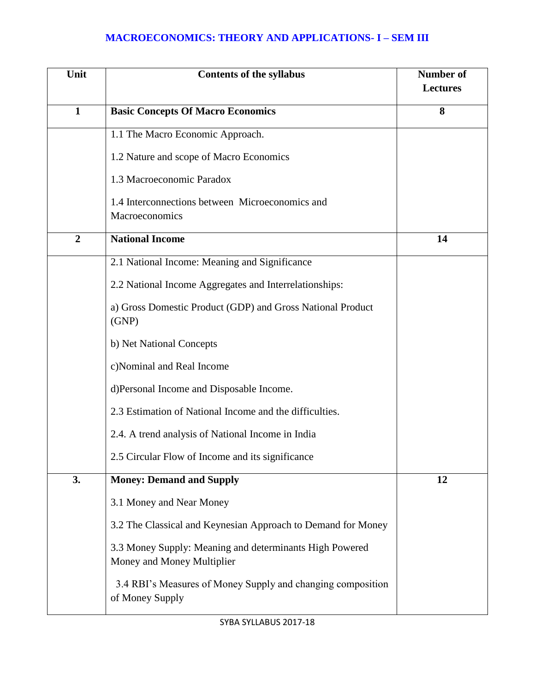## **MACROECONOMICS: THEORY AND APPLICATIONS- I – SEM III**

| Unit           | <b>Contents of the syllabus</b>                                                       | <b>Number of</b><br><b>Lectures</b> |
|----------------|---------------------------------------------------------------------------------------|-------------------------------------|
|                |                                                                                       |                                     |
| $\mathbf{1}$   | <b>Basic Concepts Of Macro Economics</b>                                              | 8                                   |
|                | 1.1 The Macro Economic Approach.                                                      |                                     |
|                | 1.2 Nature and scope of Macro Economics                                               |                                     |
|                | 1.3 Macroeconomic Paradox                                                             |                                     |
|                | 1.4 Interconnections between Microeconomics and<br>Macroeconomics                     |                                     |
| $\overline{2}$ | <b>National Income</b>                                                                | 14                                  |
|                | 2.1 National Income: Meaning and Significance                                         |                                     |
|                | 2.2 National Income Aggregates and Interrelationships:                                |                                     |
|                | a) Gross Domestic Product (GDP) and Gross National Product<br>(GNP)                   |                                     |
|                | b) Net National Concepts                                                              |                                     |
|                | c)Nominal and Real Income                                                             |                                     |
|                | d)Personal Income and Disposable Income.                                              |                                     |
|                | 2.3 Estimation of National Income and the difficulties.                               |                                     |
|                | 2.4. A trend analysis of National Income in India                                     |                                     |
|                | 2.5 Circular Flow of Income and its significance                                      |                                     |
| 3.             | <b>Money: Demand and Supply</b>                                                       | 12                                  |
|                | 3.1 Money and Near Money                                                              |                                     |
|                | 3.2 The Classical and Keynesian Approach to Demand for Money                          |                                     |
|                | 3.3 Money Supply: Meaning and determinants High Powered<br>Money and Money Multiplier |                                     |
|                | 3.4 RBI's Measures of Money Supply and changing composition<br>of Money Supply        |                                     |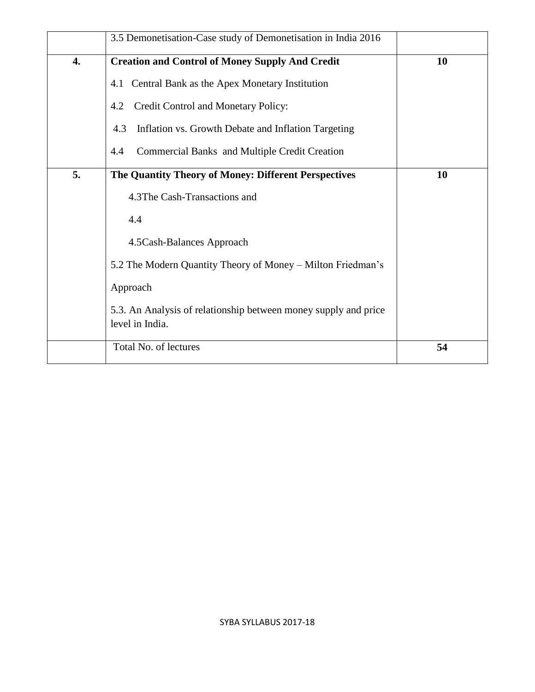|    | 3.5 Demonetisation-Case study of Demonetisation in India 2016                      |           |
|----|------------------------------------------------------------------------------------|-----------|
| 4. | <b>Creation and Control of Money Supply And Credit</b>                             | <b>10</b> |
|    | 4.1 Central Bank as the Apex Monetary Institution                                  |           |
|    | Credit Control and Monetary Policy:<br>4.2                                         |           |
|    | Inflation vs. Growth Debate and Inflation Targeting<br>4.3                         |           |
|    | <b>Commercial Banks and Multiple Credit Creation</b><br>4.4                        |           |
| 5. | The Quantity Theory of Money: Different Perspectives                               | 10        |
|    | 4.3The Cash-Transactions and                                                       |           |
|    | 4.4                                                                                |           |
|    | 4.5 Cash-Balances Approach                                                         |           |
|    | 5.2 The Modern Quantity Theory of Money – Milton Friedman's                        |           |
|    | Approach                                                                           |           |
|    | 5.3. An Analysis of relationship between money supply and price<br>level in India. |           |
|    | Total No. of lectures                                                              | 54        |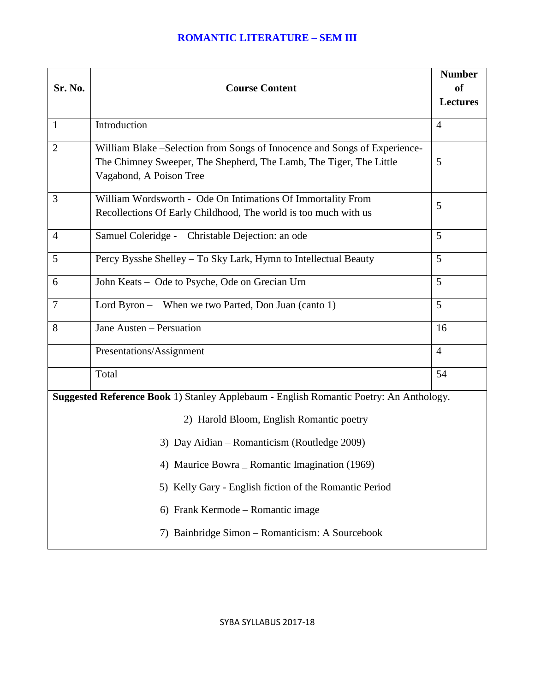### **ROMANTIC LITERATURE – SEM III**

| Sr. No.                                                                                | <b>Course Content</b>                                                                                                                                                       | <b>Number</b><br>of<br><b>Lectures</b> |  |
|----------------------------------------------------------------------------------------|-----------------------------------------------------------------------------------------------------------------------------------------------------------------------------|----------------------------------------|--|
| $\mathbf{1}$                                                                           | Introduction                                                                                                                                                                | $\overline{4}$                         |  |
| $\overline{2}$                                                                         | William Blake – Selection from Songs of Innocence and Songs of Experience-<br>The Chimney Sweeper, The Shepherd, The Lamb, The Tiger, The Little<br>Vagabond, A Poison Tree | 5                                      |  |
| 3                                                                                      | William Wordsworth - Ode On Intimations Of Immortality From<br>Recollections Of Early Childhood, The world is too much with us                                              | 5                                      |  |
| $\overline{4}$                                                                         | Samuel Coleridge - Christable Dejection: an ode                                                                                                                             | 5                                      |  |
| 5                                                                                      | Percy Bysshe Shelley – To Sky Lark, Hymn to Intellectual Beauty                                                                                                             | 5                                      |  |
| 6                                                                                      | John Keats - Ode to Psyche, Ode on Grecian Urn                                                                                                                              | 5                                      |  |
| 7                                                                                      | Lord Byron - When we two Parted, Don Juan (canto 1)                                                                                                                         | 5                                      |  |
| 8                                                                                      | Jane Austen - Persuation                                                                                                                                                    | 16                                     |  |
|                                                                                        | Presentations/Assignment                                                                                                                                                    | $\overline{4}$                         |  |
|                                                                                        | Total                                                                                                                                                                       | 54                                     |  |
| Suggested Reference Book 1) Stanley Applebaum - English Romantic Poetry: An Anthology. |                                                                                                                                                                             |                                        |  |
|                                                                                        | 2) Harold Bloom, English Romantic poetry                                                                                                                                    |                                        |  |
| 3) Day Aidian – Romanticism (Routledge 2009)                                           |                                                                                                                                                                             |                                        |  |
| 4) Maurice Bowra _ Romantic Imagination (1969)                                         |                                                                                                                                                                             |                                        |  |
|                                                                                        | 5) Kelly Gary - English fiction of the Romantic Period                                                                                                                      |                                        |  |
|                                                                                        | 6) Frank Kermode – Romantic image                                                                                                                                           |                                        |  |
|                                                                                        | 7) Bainbridge Simon - Romanticism: A Sourcebook                                                                                                                             |                                        |  |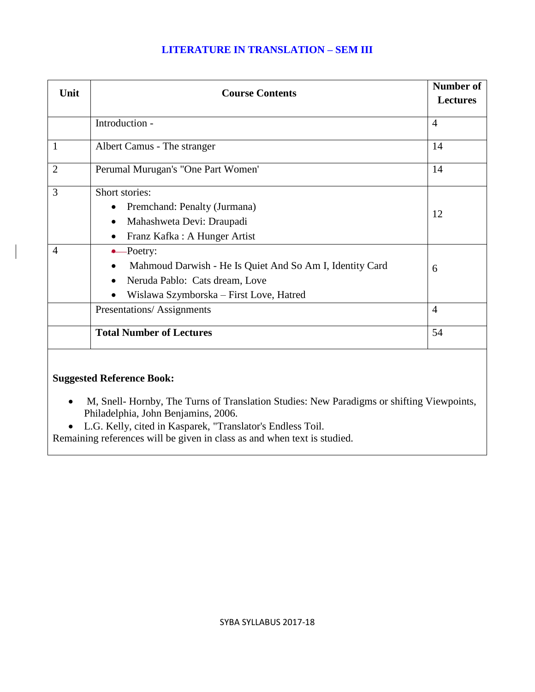### **LITERATURE IN TRANSLATION – SEM III**

| Unit           | <b>Course Contents</b>                                                                                                                                                     | <b>Number of</b> |
|----------------|----------------------------------------------------------------------------------------------------------------------------------------------------------------------------|------------------|
|                |                                                                                                                                                                            |                  |
|                | Introduction -                                                                                                                                                             | $\overline{4}$   |
| 1              | Albert Camus - The stranger                                                                                                                                                | 14               |
| $\overline{2}$ | Perumal Murugan's "One Part Women"                                                                                                                                         | 14               |
| 3              | Short stories:<br>Premchand: Penalty (Jurmana)<br>٠<br>Mahashweta Devi: Draupadi<br>$\bullet$<br>Franz Kafka: A Hunger Artist<br>$\bullet$                                 | 12               |
| $\overline{4}$ | $\leftarrow$ Poetry:<br>Mahmoud Darwish - He Is Quiet And So Am I, Identity Card<br>Neruda Pablo: Cats dream, Love<br>$\bullet$<br>Wislawa Szymborska – First Love, Hatred | 6                |
|                | Presentations/Assignments                                                                                                                                                  | $\overline{4}$   |
|                | <b>Total Number of Lectures</b>                                                                                                                                            | 54               |
|                |                                                                                                                                                                            |                  |

# **Suggested Reference Book:**

- M, Snell- Hornby, The Turns of Translation Studies: New Paradigms or shifting Viewpoints, Philadelphia, John Benjamins, 2006.
- L.G. Kelly, cited in Kasparek, "Translator's Endless Toil.

Remaining references will be given in class as and when text is studied.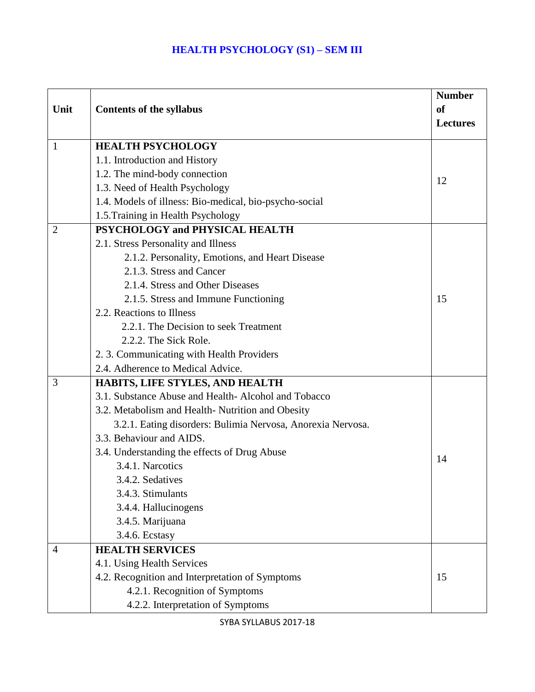### **HEALTH PSYCHOLOGY (S1) – SEM III**

|                |                                                             | <b>Number</b>   |
|----------------|-------------------------------------------------------------|-----------------|
| Unit           | <b>Contents of the syllabus</b>                             | <b>of</b>       |
|                |                                                             | <b>Lectures</b> |
| $\mathbf{1}$   | <b>HEALTH PSYCHOLOGY</b>                                    |                 |
|                | 1.1. Introduction and History                               |                 |
|                | 1.2. The mind-body connection                               | 12              |
|                | 1.3. Need of Health Psychology                              |                 |
|                | 1.4. Models of illness: Bio-medical, bio-psycho-social      |                 |
|                | 1.5. Training in Health Psychology                          |                 |
| $\overline{2}$ | PSYCHOLOGY and PHYSICAL HEALTH                              |                 |
|                | 2.1. Stress Personality and Illness                         |                 |
|                | 2.1.2. Personality, Emotions, and Heart Disease             |                 |
|                | 2.1.3. Stress and Cancer                                    |                 |
|                | 2.1.4. Stress and Other Diseases                            |                 |
|                | 2.1.5. Stress and Immune Functioning                        | 15              |
|                | 2.2. Reactions to Illness                                   |                 |
|                | 2.2.1. The Decision to seek Treatment                       |                 |
|                | 2.2.2. The Sick Role.                                       |                 |
|                | 2. 3. Communicating with Health Providers                   |                 |
|                | 2.4. Adherence to Medical Advice.                           |                 |
| 3              | HABITS, LIFE STYLES, AND HEALTH                             |                 |
|                | 3.1. Substance Abuse and Health-Alcohol and Tobacco         |                 |
|                | 3.2. Metabolism and Health-Nutrition and Obesity            |                 |
|                | 3.2.1. Eating disorders: Bulimia Nervosa, Anorexia Nervosa. |                 |
|                | 3.3. Behaviour and AIDS.                                    |                 |
|                | 3.4. Understanding the effects of Drug Abuse                | 14              |
|                | 3.4.1. Narcotics                                            |                 |
|                | 3.4.2. Sedatives                                            |                 |
|                | 3.4.3. Stimulants                                           |                 |
|                | 3.4.4. Hallucinogens                                        |                 |
|                | 3.4.5. Marijuana                                            |                 |
|                | 3.4.6. Ecstasy                                              |                 |
| $\overline{4}$ | <b>HEALTH SERVICES</b>                                      |                 |
|                | 4.1. Using Health Services                                  |                 |
|                | 4.2. Recognition and Interpretation of Symptoms             | 15              |
|                | 4.2.1. Recognition of Symptoms                              |                 |
|                | 4.2.2. Interpretation of Symptoms                           |                 |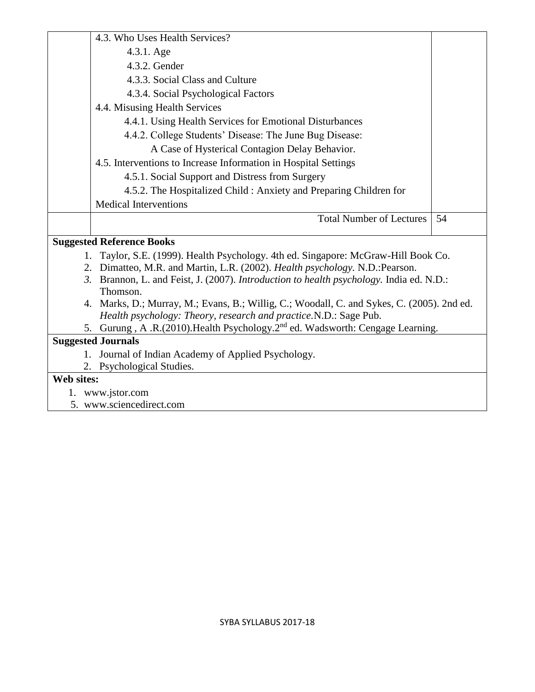|            | 4.3. Who Uses Health Services?                                                             |    |
|------------|--------------------------------------------------------------------------------------------|----|
|            | 4.3.1. Age                                                                                 |    |
|            | 4.3.2. Gender                                                                              |    |
|            | 4.3.3. Social Class and Culture                                                            |    |
|            | 4.3.4. Social Psychological Factors                                                        |    |
|            | 4.4. Misusing Health Services                                                              |    |
|            | 4.4.1. Using Health Services for Emotional Disturbances                                    |    |
|            | 4.4.2. College Students' Disease: The June Bug Disease:                                    |    |
|            | A Case of Hysterical Contagion Delay Behavior.                                             |    |
|            | 4.5. Interventions to Increase Information in Hospital Settings                            |    |
|            | 4.5.1. Social Support and Distress from Surgery                                            |    |
|            | 4.5.2. The Hospitalized Child: Anxiety and Preparing Children for                          |    |
|            | <b>Medical Interventions</b>                                                               |    |
|            |                                                                                            |    |
|            | <b>Total Number of Lectures</b>                                                            | 54 |
|            |                                                                                            |    |
|            | <b>Suggested Reference Books</b>                                                           |    |
|            | Taylor, S.E. (1999). Health Psychology. 4th ed. Singapore: McGraw-Hill Book Co.            |    |
|            | 2. Dimatteo, M.R. and Martin, L.R. (2002). Health psychology. N.D.: Pearson.               |    |
|            | 3. Brannon, L. and Feist, J. (2007). Introduction to health psychology. India ed. N.D.:    |    |
|            | Thomson.                                                                                   |    |
|            | 4. Marks, D.; Murray, M.; Evans, B.; Willig, C.; Woodall, C. and Sykes, C. (2005). 2nd ed. |    |
|            | Health psychology: Theory, research and practice.N.D.: Sage Pub.                           |    |
|            | 5. Gurung, A.R.(2010). Health Psychology. 2 <sup>nd</sup> ed. Wadsworth: Cengage Learning. |    |
|            | <b>Suggested Journals</b>                                                                  |    |
| $1_{-}$    | Journal of Indian Academy of Applied Psychology.                                           |    |
| 2.         | Psychological Studies.                                                                     |    |
| Web sites: | 1. www.jstor.com                                                                           |    |

5. www.sciencedirect.com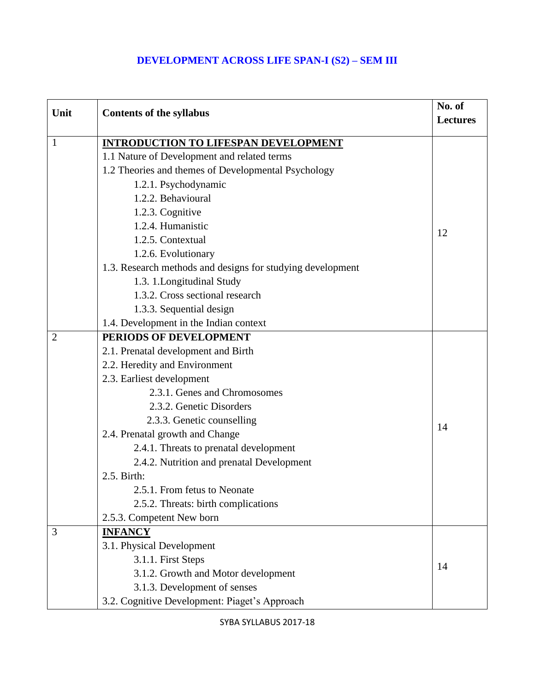## **DEVELOPMENT ACROSS LIFE SPAN-I (S2) – SEM III**

| Unit           | <b>Contents of the syllabus</b>                            | No. of          |
|----------------|------------------------------------------------------------|-----------------|
|                |                                                            | <b>Lectures</b> |
| 1              | <b>INTRODUCTION TO LIFESPAN DEVELOPMENT</b>                |                 |
|                | 1.1 Nature of Development and related terms                |                 |
|                | 1.2 Theories and themes of Developmental Psychology        |                 |
|                | 1.2.1. Psychodynamic                                       |                 |
|                | 1.2.2. Behavioural                                         |                 |
|                | 1.2.3. Cognitive                                           |                 |
|                | 1.2.4. Humanistic                                          |                 |
|                | 1.2.5. Contextual                                          | 12              |
|                | 1.2.6. Evolutionary                                        |                 |
|                | 1.3. Research methods and designs for studying development |                 |
|                | 1.3. 1. Longitudinal Study                                 |                 |
|                | 1.3.2. Cross sectional research                            |                 |
|                | 1.3.3. Sequential design                                   |                 |
|                | 1.4. Development in the Indian context                     |                 |
| $\overline{2}$ | PERIODS OF DEVELOPMENT                                     |                 |
|                | 2.1. Prenatal development and Birth                        |                 |
|                | 2.2. Heredity and Environment                              |                 |
|                | 2.3. Earliest development                                  |                 |
|                | 2.3.1. Genes and Chromosomes                               |                 |
|                | 2.3.2. Genetic Disorders                                   |                 |
|                | 2.3.3. Genetic counselling                                 | 14              |
|                | 2.4. Prenatal growth and Change                            |                 |
|                | 2.4.1. Threats to prenatal development                     |                 |
|                | 2.4.2. Nutrition and prenatal Development                  |                 |
|                | 2.5. Birth:                                                |                 |
|                | 2.5.1. From fetus to Neonate                               |                 |
|                | 2.5.2. Threats: birth complications                        |                 |
|                | 2.5.3. Competent New born                                  |                 |
| 3              | <b>INFANCY</b>                                             |                 |
|                | 3.1. Physical Development                                  |                 |
|                | 3.1.1. First Steps                                         | 14              |
|                | 3.1.2. Growth and Motor development                        |                 |
|                | 3.1.3. Development of senses                               |                 |
|                | 3.2. Cognitive Development: Piaget's Approach              |                 |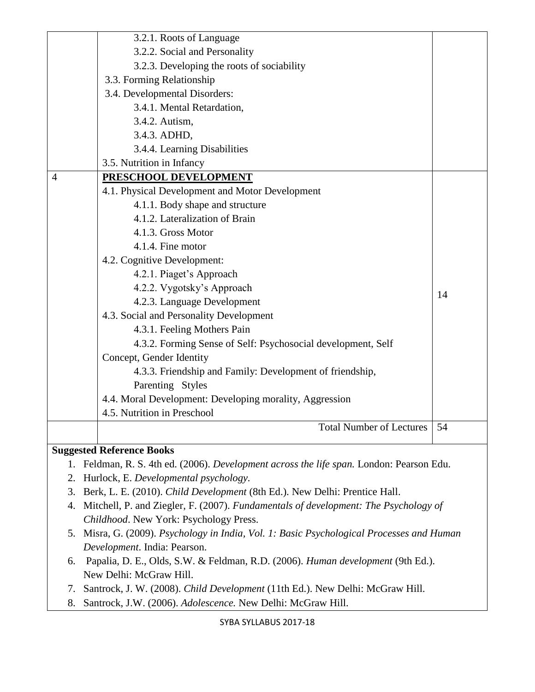|    | 3.2.1. Roots of Language                                                                 |    |
|----|------------------------------------------------------------------------------------------|----|
|    | 3.2.2. Social and Personality                                                            |    |
|    | 3.2.3. Developing the roots of sociability                                               |    |
|    | 3.3. Forming Relationship                                                                |    |
|    | 3.4. Developmental Disorders:                                                            |    |
|    | 3.4.1. Mental Retardation,                                                               |    |
|    | 3.4.2. Autism,                                                                           |    |
|    | 3.4.3. ADHD,                                                                             |    |
|    | 3.4.4. Learning Disabilities                                                             |    |
|    | 3.5. Nutrition in Infancy                                                                |    |
| 4  | PRESCHOOL DEVELOPMENT                                                                    |    |
|    | 4.1. Physical Development and Motor Development                                          |    |
|    | 4.1.1. Body shape and structure                                                          |    |
|    | 4.1.2. Lateralization of Brain                                                           |    |
|    | 4.1.3. Gross Motor                                                                       |    |
|    | 4.1.4. Fine motor                                                                        |    |
|    | 4.2. Cognitive Development:                                                              |    |
|    | 4.2.1. Piaget's Approach                                                                 |    |
|    | 4.2.2. Vygotsky's Approach                                                               | 14 |
|    | 4.2.3. Language Development                                                              |    |
|    | 4.3. Social and Personality Development                                                  |    |
|    | 4.3.1. Feeling Mothers Pain                                                              |    |
|    | 4.3.2. Forming Sense of Self: Psychosocial development, Self                             |    |
|    | Concept, Gender Identity                                                                 |    |
|    | 4.3.3. Friendship and Family: Development of friendship,                                 |    |
|    | Parenting Styles                                                                         |    |
|    | 4.4. Moral Development: Developing morality, Aggression                                  |    |
|    | 4.5. Nutrition in Preschool                                                              |    |
|    | <b>Total Number of Lectures</b>                                                          | 54 |
|    |                                                                                          |    |
|    | <b>Suggested Reference Books</b>                                                         |    |
|    | 1. Feldman, R. S. 4th ed. (2006). Development across the life span. London: Pearson Edu. |    |
| 2. | Hurlock, E. Developmental psychology.                                                    |    |
| 3. | Berk, L. E. (2010). Child Development (8th Ed.). New Delhi: Prentice Hall.               |    |
| 4. | Mitchell, P. and Ziegler, F. (2007). Fundamentals of development: The Psychology of      |    |

- *Childhood*. New York: Psychology Press.
- 5. Misra, G. (2009). *Psychology in India, Vol. 1: Basic Psychological Processes and Human Development*. India: Pearson.
- 6. Papalia, D. E., Olds, S.W. & Feldman, R.D. (2006). *Human development* (9th Ed.). New Delhi: McGraw Hill.
- 7. Santrock, J. W. (2008). *Child Development* (11th Ed.). New Delhi: McGraw Hill.
- 8. Santrock, J.W. (2006). *Adolescence.* New Delhi: McGraw Hill.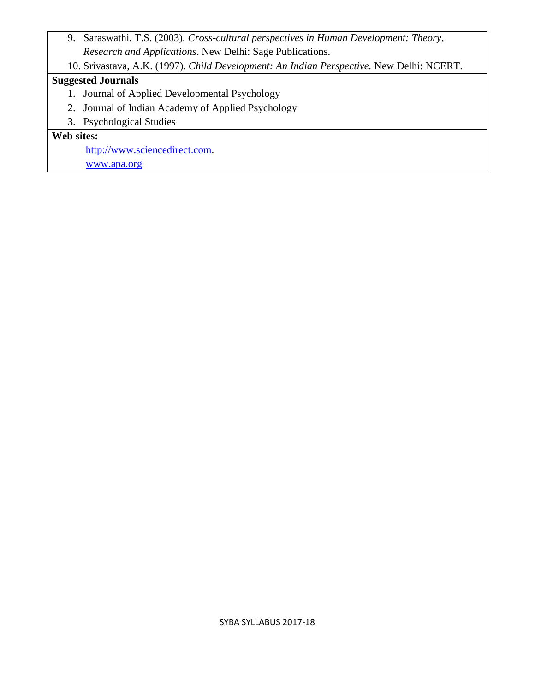- 9. Saraswathi, T.S. (2003). *Cross-cultural perspectives in Human Development: Theory, Research and Applications*. New Delhi: Sage Publications.
- 10. Srivastava, A.K. (1997). *Child Development: An Indian Perspective.* New Delhi: NCERT.

# **Suggested Journals**

- 1. Journal of Applied Developmental Psychology
- 2. Journal of Indian Academy of Applied Psychology
- 3. Psychological Studies

# **Web sites:**

[http://www.sciencedirect.com.](http://www.sciencedirect.com/)

[www.apa.org](http://www.apa.org/)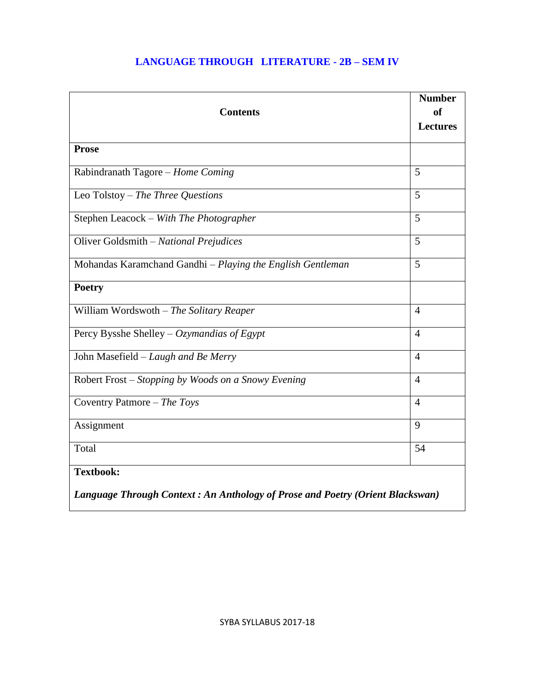# **LANGUAGE THROUGH LITERATURE - 2B – SEM IV**

| <b>Contents</b>                                                                                   | <b>Number</b><br><sub>of</sub><br><b>Lectures</b> |
|---------------------------------------------------------------------------------------------------|---------------------------------------------------|
| <b>Prose</b>                                                                                      |                                                   |
| Rabindranath Tagore - Home Coming                                                                 | 5                                                 |
| Leo Tolstoy – The Three Questions                                                                 | 5                                                 |
| Stephen Leacock - With The Photographer                                                           | 5                                                 |
| Oliver Goldsmith - National Prejudices                                                            | 5                                                 |
| Mohandas Karamchand Gandhi - Playing the English Gentleman                                        | 5                                                 |
| <b>Poetry</b>                                                                                     |                                                   |
| William Wordswoth - The Solitary Reaper                                                           | $\overline{4}$                                    |
| Percy Bysshe Shelley – Ozymandias of Egypt                                                        | $\overline{4}$                                    |
| John Masefield - Laugh and Be Merry                                                               | $\overline{4}$                                    |
| Robert Frost – Stopping by Woods on a Snowy Evening                                               | $\overline{4}$                                    |
| Coventry Patmore $-$ The Toys                                                                     | $\overline{4}$                                    |
| Assignment                                                                                        | 9                                                 |
| Total                                                                                             | 54                                                |
| <b>Textbook:</b><br>Language Through Context: An Anthology of Prose and Poetry (Orient Blackswan) |                                                   |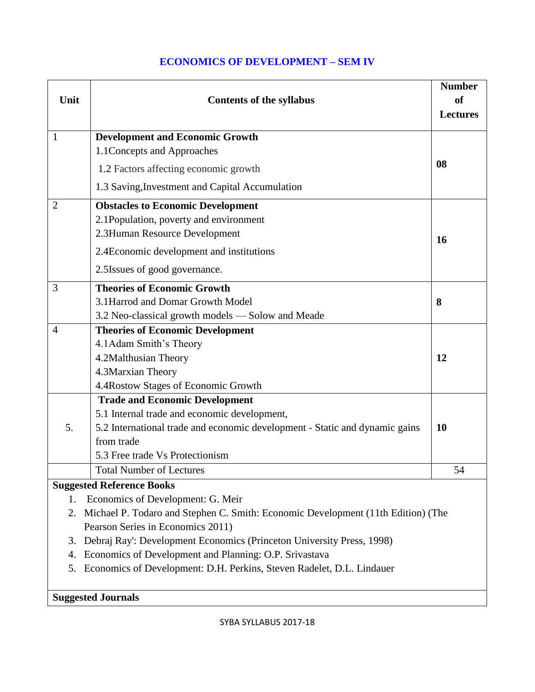## **ECONOMICS OF DEVELOPMENT – SEM IV**

| Unit                                                                                | <b>Contents of the syllabus</b>                                             | <b>Number</b><br>of<br><b>Lectures</b> |
|-------------------------------------------------------------------------------------|-----------------------------------------------------------------------------|----------------------------------------|
| $\mathbf{1}$                                                                        | <b>Development and Economic Growth</b>                                      |                                        |
|                                                                                     | 1.1 Concepts and Approaches                                                 |                                        |
|                                                                                     | 1.2 Factors affecting economic growth                                       | 08                                     |
|                                                                                     | 1.3 Saving, Investment and Capital Accumulation                             |                                        |
| $\overline{2}$                                                                      | <b>Obstacles to Economic Development</b>                                    |                                        |
|                                                                                     | 2.1Population, poverty and environment                                      |                                        |
|                                                                                     | 2.3Human Resource Development                                               | 16                                     |
|                                                                                     | 2.4 Economic development and institutions                                   |                                        |
|                                                                                     | 2.5 Issues of good governance.                                              |                                        |
| 3                                                                                   | <b>Theories of Economic Growth</b>                                          |                                        |
|                                                                                     | 3.1 Harrod and Domar Growth Model                                           | 8                                      |
|                                                                                     | 3.2 Neo-classical growth models — Solow and Meade                           |                                        |
| $\overline{4}$                                                                      | <b>Theories of Economic Development</b>                                     |                                        |
|                                                                                     | 4.1 Adam Smith's Theory                                                     |                                        |
|                                                                                     | 4.2Malthusian Theory                                                        | 12                                     |
|                                                                                     | 4.3Marxian Theory                                                           |                                        |
|                                                                                     | 4.4 Rostow Stages of Economic Growth                                        |                                        |
|                                                                                     | <b>Trade and Economic Development</b>                                       |                                        |
|                                                                                     | 5.1 Internal trade and economic development,                                |                                        |
| 5.                                                                                  | 5.2 International trade and economic development - Static and dynamic gains | 10                                     |
|                                                                                     | from trade                                                                  |                                        |
|                                                                                     | 5.3 Free trade Vs Protectionism                                             |                                        |
|                                                                                     | <b>Total Number of Lectures</b>                                             | 54                                     |
|                                                                                     | <b>Suggested Reference Books</b>                                            |                                        |
| 1.                                                                                  | Economics of Development: G. Meir                                           |                                        |
| 2. Michael P. Todaro and Stephen C. Smith: Economic Development (11th Edition) (The |                                                                             |                                        |
| Pearson Series in Economics 2011)                                                   |                                                                             |                                        |
| Debraj Ray': Development Economics (Princeton University Press, 1998)<br>3.         |                                                                             |                                        |
| 4.                                                                                  | Economics of Development and Planning: O.P. Srivastava                      |                                        |
| 5.                                                                                  | Economics of Development: D.H. Perkins, Steven Radelet, D.L. Lindauer       |                                        |

**Suggested Journals**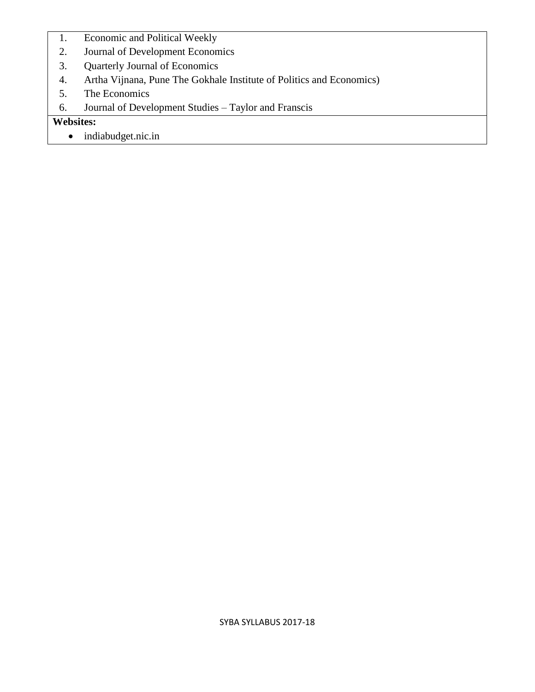- 1. Economic and Political Weekly
- 2. [Journal of Development Economics](http://en.wikipedia.org/wiki/Journal_of_Development_Economics)
- 3. [Quarterly Journal of Economics](http://en.wikipedia.org/wiki/Quarterly_Journal_of_Economics)
- 4. Artha Vijnana, Pune The Gokhale Institute of Politics and Economics)
- 5. The Economics
- 6. Journal of Development Studies Taylor and Franscis

**Websites:** 

• indiabudget.nic.in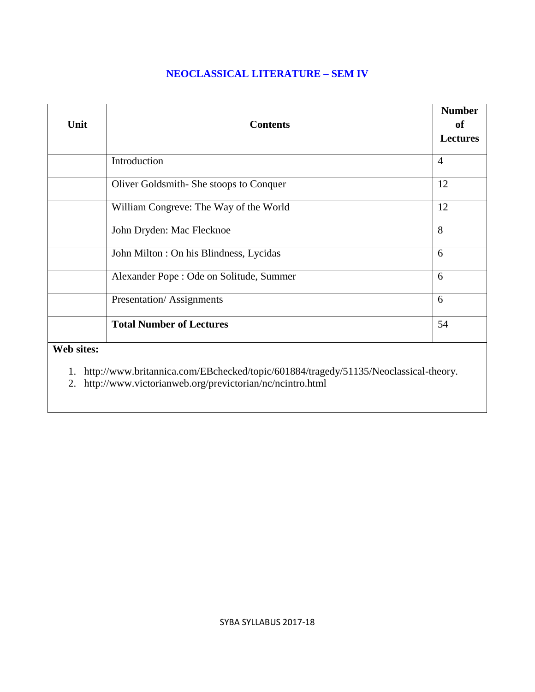### **NEOCLASSICAL LITERATURE – SEM IV**

|            |                                          | <b>Number</b>   |
|------------|------------------------------------------|-----------------|
| Unit       | <b>Contents</b>                          | of              |
|            |                                          | <b>Lectures</b> |
|            | Introduction                             | $\overline{4}$  |
|            | Oliver Goldsmith-She stoops to Conquer   | 12              |
|            | William Congreve: The Way of the World   | 12              |
|            | John Dryden: Mac Flecknoe                | 8               |
|            | John Milton : On his Blindness, Lycidas  | 6               |
|            | Alexander Pope : Ode on Solitude, Summer | 6               |
|            | Presentation/Assignments                 | 6               |
|            | <b>Total Number of Lectures</b>          | 54              |
| Web sites: |                                          |                 |

1. http://www.britannica.com/EBchecked/topic/601884/tragedy/51135/Neoclassical-theory.

2. http://www.victorianweb.org/previctorian/nc/ncintro.html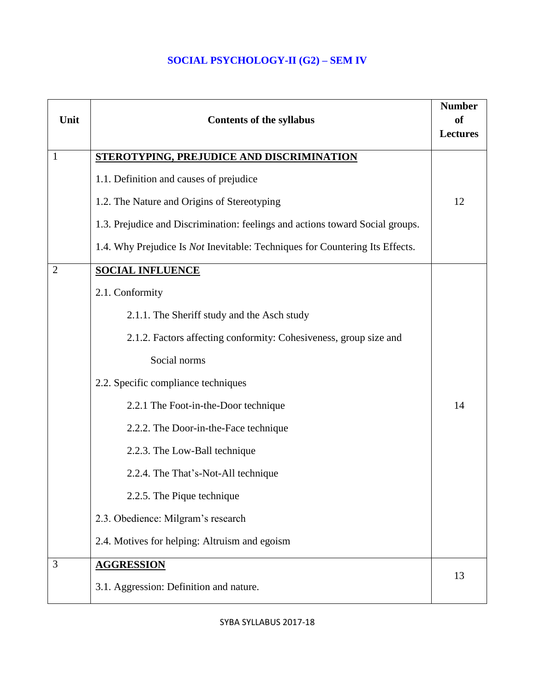# **SOCIAL PSYCHOLOGY-II (G2) – SEM IV**

| Unit           | <b>Contents of the syllabus</b>                                                     | <b>Number</b><br><sub>of</sub><br><b>Lectures</b> |
|----------------|-------------------------------------------------------------------------------------|---------------------------------------------------|
| $\mathbf{1}$   | <b>STEROTYPING, PREJUDICE AND DISCRIMINATION</b>                                    |                                                   |
|                | 1.1. Definition and causes of prejudice                                             |                                                   |
|                | 1.2. The Nature and Origins of Stereotyping                                         | 12                                                |
|                | 1.3. Prejudice and Discrimination: feelings and actions toward Social groups.       |                                                   |
|                | 1.4. Why Prejudice Is <i>Not</i> Inevitable: Techniques for Countering Its Effects. |                                                   |
| $\overline{2}$ | <b>SOCIAL INFLUENCE</b>                                                             |                                                   |
|                | 2.1. Conformity                                                                     |                                                   |
|                | 2.1.1. The Sheriff study and the Asch study                                         |                                                   |
|                | 2.1.2. Factors affecting conformity: Cohesiveness, group size and                   |                                                   |
|                | Social norms                                                                        |                                                   |
|                | 2.2. Specific compliance techniques                                                 |                                                   |
|                | 2.2.1 The Foot-in-the-Door technique                                                | 14                                                |
|                | 2.2.2. The Door-in-the-Face technique                                               |                                                   |
|                | 2.2.3. The Low-Ball technique                                                       |                                                   |
|                | 2.2.4. The That's-Not-All technique                                                 |                                                   |
|                | 2.2.5. The Pique technique                                                          |                                                   |
|                | 2.3. Obedience: Milgram's research                                                  |                                                   |
|                | 2.4. Motives for helping: Altruism and egoism                                       |                                                   |
| 3              | <b>AGGRESSION</b>                                                                   | 13                                                |
|                | 3.1. Aggression: Definition and nature.                                             |                                                   |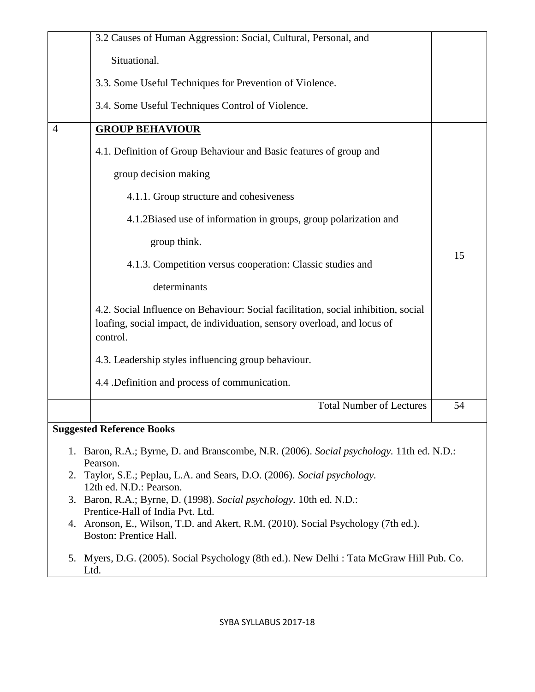|                                                                                                                                                                                                                                                                                    | 3.2 Causes of Human Aggression: Social, Cultural, Personal, and                                                                                                            |    |
|------------------------------------------------------------------------------------------------------------------------------------------------------------------------------------------------------------------------------------------------------------------------------------|----------------------------------------------------------------------------------------------------------------------------------------------------------------------------|----|
|                                                                                                                                                                                                                                                                                    | Situational.                                                                                                                                                               |    |
|                                                                                                                                                                                                                                                                                    | 3.3. Some Useful Techniques for Prevention of Violence.                                                                                                                    |    |
|                                                                                                                                                                                                                                                                                    | 3.4. Some Useful Techniques Control of Violence.                                                                                                                           |    |
| 4                                                                                                                                                                                                                                                                                  | <b>GROUP BEHAVIOUR</b>                                                                                                                                                     |    |
|                                                                                                                                                                                                                                                                                    | 4.1. Definition of Group Behaviour and Basic features of group and                                                                                                         |    |
|                                                                                                                                                                                                                                                                                    | group decision making                                                                                                                                                      |    |
|                                                                                                                                                                                                                                                                                    | 4.1.1. Group structure and cohesiveness                                                                                                                                    |    |
|                                                                                                                                                                                                                                                                                    | 4.1.2Biased use of information in groups, group polarization and                                                                                                           |    |
|                                                                                                                                                                                                                                                                                    | group think.                                                                                                                                                               |    |
|                                                                                                                                                                                                                                                                                    | 4.1.3. Competition versus cooperation: Classic studies and                                                                                                                 | 15 |
|                                                                                                                                                                                                                                                                                    | determinants                                                                                                                                                               |    |
|                                                                                                                                                                                                                                                                                    | 4.2. Social Influence on Behaviour: Social facilitation, social inhibition, social<br>loafing, social impact, de individuation, sensory overload, and locus of<br>control. |    |
|                                                                                                                                                                                                                                                                                    | 4.3. Leadership styles influencing group behaviour.                                                                                                                        |    |
|                                                                                                                                                                                                                                                                                    | 4.4 .Definition and process of communication.                                                                                                                              |    |
|                                                                                                                                                                                                                                                                                    | <b>Total Number of Lectures</b>                                                                                                                                            | 54 |
|                                                                                                                                                                                                                                                                                    | <b>Suggested Reference Books</b>                                                                                                                                           |    |
| 1. Baron, R.A.; Byrne, D. and Branscombe, N.R. (2006). Social psychology. 11th ed. N.D.:<br>Pearson.<br>2. Taylor, S.E.; Peplau, L.A. and Sears, D.O. (2006). Social psychology.<br>12th ed. N.D.: Pearson.<br>3. Baron, R.A.; Byrne, D. (1998). Social psychology. 10th ed. N.D.: |                                                                                                                                                                            |    |
| Prentice-Hall of India Pvt. Ltd.<br>4. Aronson, E., Wilson, T.D. and Akert, R.M. (2010). Social Psychology (7th ed.).<br><b>Boston: Prentice Hall.</b>                                                                                                                             |                                                                                                                                                                            |    |
|                                                                                                                                                                                                                                                                                    | 5. Myers, D.G. (2005). Social Psychology (8th ed.). New Delhi: Tata McGraw Hill Pub. Co.<br>Ltd.                                                                           |    |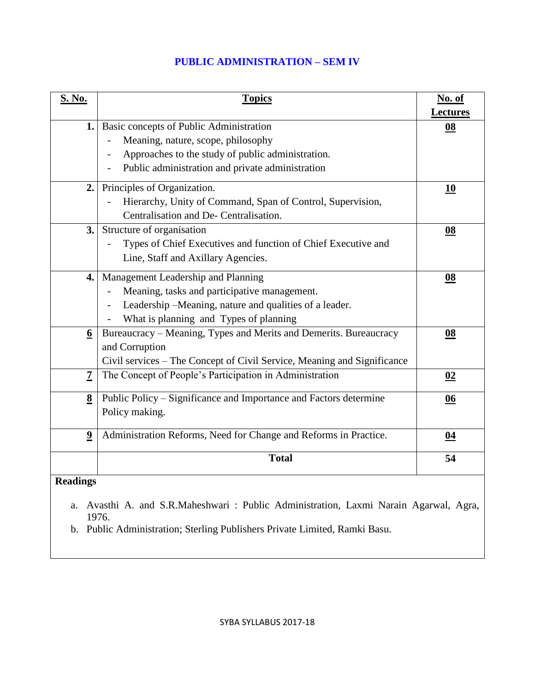### **PUBLIC ADMINISTRATION – SEM IV**

| <b>S. No.</b>           | <b>Topics</b>                                                                        | No. of          |
|-------------------------|--------------------------------------------------------------------------------------|-----------------|
|                         |                                                                                      | <b>Lectures</b> |
|                         | 1. Basic concepts of Public Administration                                           | 08              |
|                         | Meaning, nature, scope, philosophy                                                   |                 |
|                         | Approaches to the study of public administration.                                    |                 |
|                         | Public administration and private administration                                     |                 |
| 2.                      | Principles of Organization.                                                          | <u>10</u>       |
|                         | Hierarchy, Unity of Command, Span of Control, Supervision,                           |                 |
|                         | Centralisation and De- Centralisation.                                               |                 |
| 3.                      | Structure of organisation                                                            | 08              |
|                         | Types of Chief Executives and function of Chief Executive and                        |                 |
|                         | Line, Staff and Axillary Agencies.                                                   |                 |
| 4.                      | Management Leadership and Planning                                                   | 08              |
|                         | Meaning, tasks and participative management.                                         |                 |
|                         | Leadership -Meaning, nature and qualities of a leader.                               |                 |
|                         | What is planning and Types of planning                                               |                 |
| $6\overline{6}$         | Bureaucracy - Meaning, Types and Merits and Demerits. Bureaucracy                    | 08              |
|                         | and Corruption                                                                       |                 |
|                         | Civil services - The Concept of Civil Service, Meaning and Significance              |                 |
| $\overline{7}$          | The Concept of People's Participation in Administration                              | 02              |
| $\underline{8}$         | Public Policy – Significance and Importance and Factors determine                    | 06              |
|                         | Policy making.                                                                       |                 |
| $\overline{\mathbf{9}}$ | Administration Reforms, Need for Change and Reforms in Practice.                     | 04              |
|                         | <b>Total</b>                                                                         | 54              |
| <b>Readings</b>         |                                                                                      |                 |
|                         |                                                                                      |                 |
|                         | a. Avasthi A. and S.R.Maheshwari: Public Administration, Laxmi Narain Agarwal, Agra, |                 |

1976.

b. Public Administration; Sterling Publishers Private Limited, Ramki Basu.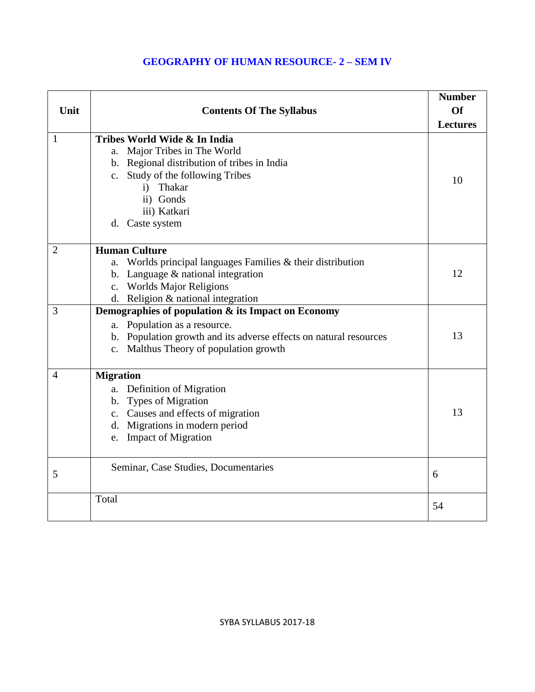### **GEOGRAPHY OF HUMAN RESOURCE- 2 – SEM IV**

| Unit           | <b>Contents Of The Syllabus</b>                                                                                                                                                                                           | <b>Number</b><br><b>Of</b><br><b>Lectures</b> |
|----------------|---------------------------------------------------------------------------------------------------------------------------------------------------------------------------------------------------------------------------|-----------------------------------------------|
| $\mathbf{1}$   | Tribes World Wide & In India<br>a. Major Tribes in The World<br>b. Regional distribution of tribes in India<br>c. Study of the following Tribes<br>Thakar<br>$\mathbf{i}$<br>ii) Gonds<br>iii) Katkari<br>d. Caste system | 10                                            |
| $\overline{2}$ | <b>Human Culture</b><br>a. Worlds principal languages Families $&$ their distribution<br>b. Language $&$ national integration<br>c. Worlds Major Religions<br>d. Religion & national integration                          | 12                                            |
| 3              | Demographies of population & its Impact on Economy<br>a. Population as a resource.<br>b. Population growth and its adverse effects on natural resources<br>c. Malthus Theory of population growth                         | 13                                            |
| $\overline{4}$ | <b>Migration</b><br>a. Definition of Migration<br>b. Types of Migration<br>c. Causes and effects of migration<br>d. Migrations in modern period<br>e. Impact of Migration                                                 | 13                                            |
| 5              | Seminar, Case Studies, Documentaries                                                                                                                                                                                      | 6                                             |
|                | Total                                                                                                                                                                                                                     | 54                                            |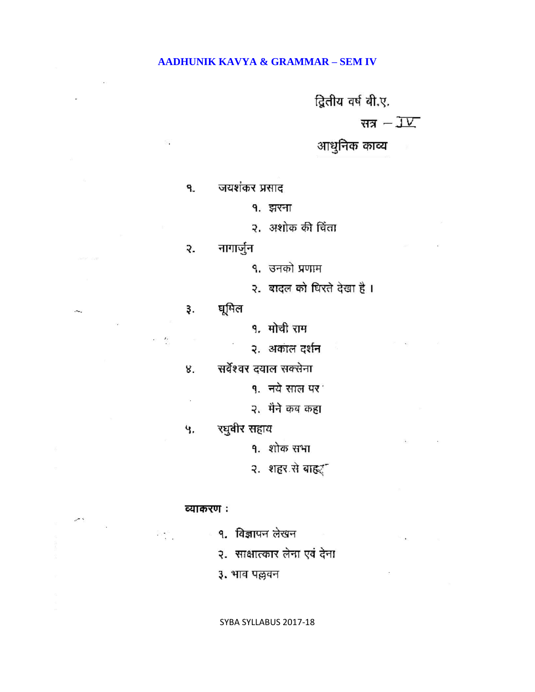### **AADHUNIK KAVYA & GRAMMAR – SEM IV**

द्वितीय वर्ष बी.ए.

सत्र  $-\overline{\mathsf{J}\mathsf{V}}$ 

आधुनिक काव्य

जयशंकर प्रसाद ۹.

१. झरना

२. अशोक की चिंता

नागार्जुन ₹.

१. उनको प्रणाम

२. बादल को घिरते देखा है।

घूमिल з.

 $\sim$ - 5

ò.

१. मोची राम

२. अकाल दर्शन

सर्वेश्वर दयाल सक्सेना 8.

q. नये साल पर<sup>1</sup>

२. मैने कब कहा

रघुवीर सहाय Ч.

१. शोक सभा

२. शहर से बाहर

#### व्याकरण :

 $\frac{S_{\rm max} S_{\rm max}}{2}$ 

×,

१. विज्ञापन लेखन

२. साक्षात्कार लेना एवं देना

३. भाव पल्लवन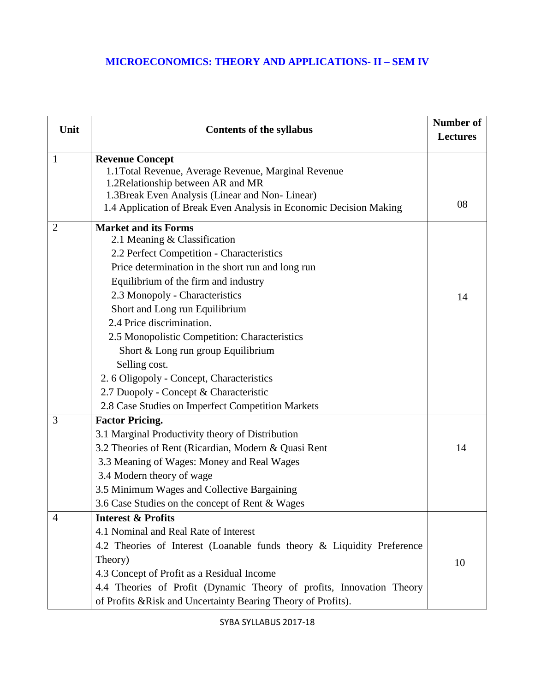## **MICROECONOMICS: THEORY AND APPLICATIONS- II – SEM IV**

| Unit           | <b>Contents of the syllabus</b>                                        | Number of<br><b>Lectures</b> |
|----------------|------------------------------------------------------------------------|------------------------------|
| 1              | <b>Revenue Concept</b>                                                 |                              |
|                | 1.1 Total Revenue, Average Revenue, Marginal Revenue                   |                              |
|                | 1.2Relationship between AR and MR                                      |                              |
|                | 1.3 Break Even Analysis (Linear and Non-Linear)                        | 08                           |
|                | 1.4 Application of Break Even Analysis in Economic Decision Making     |                              |
| $\overline{2}$ | <b>Market and its Forms</b>                                            |                              |
|                | 2.1 Meaning & Classification                                           |                              |
|                | 2.2 Perfect Competition - Characteristics                              |                              |
|                | Price determination in the short run and long run                      |                              |
|                | Equilibrium of the firm and industry                                   |                              |
|                | 2.3 Monopoly - Characteristics                                         | 14                           |
|                | Short and Long run Equilibrium                                         |                              |
|                | 2.4 Price discrimination.                                              |                              |
|                | 2.5 Monopolistic Competition: Characteristics                          |                              |
|                | Short & Long run group Equilibrium                                     |                              |
|                | Selling cost.                                                          |                              |
|                | 2. 6 Oligopoly - Concept, Characteristics                              |                              |
|                | 2.7 Duopoly - Concept & Characteristic                                 |                              |
|                | 2.8 Case Studies on Imperfect Competition Markets                      |                              |
| 3              | <b>Factor Pricing.</b>                                                 |                              |
|                | 3.1 Marginal Productivity theory of Distribution                       |                              |
|                | 3.2 Theories of Rent (Ricardian, Modern & Quasi Rent                   | 14                           |
|                | 3.3 Meaning of Wages: Money and Real Wages                             |                              |
|                | 3.4 Modern theory of wage                                              |                              |
|                | 3.5 Minimum Wages and Collective Bargaining                            |                              |
|                | 3.6 Case Studies on the concept of Rent & Wages                        |                              |
| 4              | <b>Interest &amp; Profits</b>                                          |                              |
|                | 4.1 Nominal and Real Rate of Interest                                  |                              |
|                | 4.2 Theories of Interest (Loanable funds theory & Liquidity Preference |                              |
|                | Theory)                                                                | 10                           |
|                | 4.3 Concept of Profit as a Residual Income                             |                              |
|                | 4.4 Theories of Profit (Dynamic Theory of profits, Innovation Theory   |                              |
|                | of Profits & Risk and Uncertainty Bearing Theory of Profits).          |                              |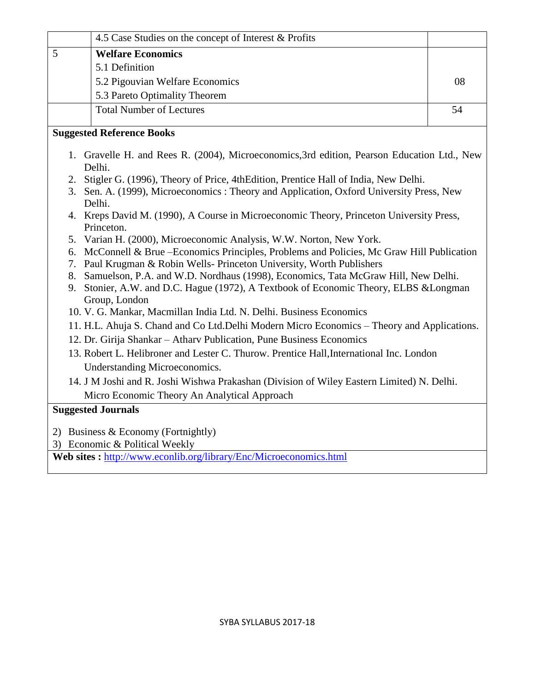| 4.5 Case Studies on the concept of Interest & Profits                                                                                                                                                                                                                                                                                                                                                                                       |    |  |
|---------------------------------------------------------------------------------------------------------------------------------------------------------------------------------------------------------------------------------------------------------------------------------------------------------------------------------------------------------------------------------------------------------------------------------------------|----|--|
| 5<br><b>Welfare Economics</b>                                                                                                                                                                                                                                                                                                                                                                                                               |    |  |
| 5.1 Definition                                                                                                                                                                                                                                                                                                                                                                                                                              |    |  |
| 5.2 Pigouvian Welfare Economics                                                                                                                                                                                                                                                                                                                                                                                                             | 08 |  |
| 5.3 Pareto Optimality Theorem                                                                                                                                                                                                                                                                                                                                                                                                               |    |  |
| <b>Total Number of Lectures</b>                                                                                                                                                                                                                                                                                                                                                                                                             | 54 |  |
| <b>Suggested Reference Books</b>                                                                                                                                                                                                                                                                                                                                                                                                            |    |  |
| 1. Gravelle H. and Rees R. (2004), Microeconomics, 3rd edition, Pearson Education Ltd., New<br>Delhi.                                                                                                                                                                                                                                                                                                                                       |    |  |
| Stigler G. (1996), Theory of Price, 4thEdition, Prentice Hall of India, New Delhi.<br>2.<br>3. Sen. A. (1999), Microeconomics: Theory and Application, Oxford University Press, New<br>Delhi.                                                                                                                                                                                                                                               |    |  |
| 4. Kreps David M. (1990), A Course in Microeconomic Theory, Princeton University Press,<br>Princeton.                                                                                                                                                                                                                                                                                                                                       |    |  |
| Varian H. (2000), Microeconomic Analysis, W.W. Norton, New York.<br>5.<br>McConnell & Brue - Economics Principles, Problems and Policies, Mc Graw Hill Publication<br>6.<br>Paul Krugman & Robin Wells- Princeton University, Worth Publishers<br>7.<br>Samuelson, P.A. and W.D. Nordhaus (1998), Economics, Tata McGraw Hill, New Delhi.<br>8.<br>Stonier, A.W. and D.C. Hague (1972), A Textbook of Economic Theory, ELBS & Longman<br>9. |    |  |
| Group, London<br>10. V. G. Mankar, Macmillan India Ltd. N. Delhi. Business Economics                                                                                                                                                                                                                                                                                                                                                        |    |  |
| 11. H.L. Ahuja S. Chand and Co Ltd. Delhi Modern Micro Economics - Theory and Applications.                                                                                                                                                                                                                                                                                                                                                 |    |  |
| 12. Dr. Girija Shankar - Athary Publication, Pune Business Economics                                                                                                                                                                                                                                                                                                                                                                        |    |  |
| 13. Robert L. Helibroner and Lester C. Thurow. Prentice Hall, International Inc. London                                                                                                                                                                                                                                                                                                                                                     |    |  |
| Understanding Microeconomics.                                                                                                                                                                                                                                                                                                                                                                                                               |    |  |
| 14. J M Joshi and R. Joshi Wishwa Prakashan (Division of Wiley Eastern Limited) N. Delhi.                                                                                                                                                                                                                                                                                                                                                   |    |  |
| Micro Economic Theory An Analytical Approach                                                                                                                                                                                                                                                                                                                                                                                                |    |  |
| <b>Suggested Journals</b>                                                                                                                                                                                                                                                                                                                                                                                                                   |    |  |
|                                                                                                                                                                                                                                                                                                                                                                                                                                             |    |  |
| 2) Business & Economy (Fortnightly)                                                                                                                                                                                                                                                                                                                                                                                                         |    |  |
| 3) Economic & Political Weekly<br>14.44                                                                                                                                                                                                                                                                                                                                                                                                     |    |  |

**Web sites :** <http://www.econlib.org/library/Enc/Microeconomics.html>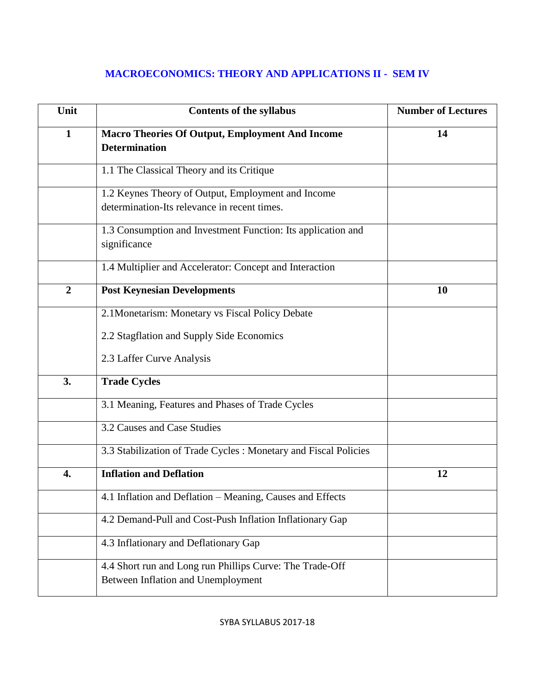# **MACROECONOMICS: THEORY AND APPLICATIONS II - SEM IV**

| Unit           | <b>Contents of the syllabus</b>                                                                    | <b>Number of Lectures</b> |
|----------------|----------------------------------------------------------------------------------------------------|---------------------------|
| $\mathbf{1}$   | <b>Macro Theories Of Output, Employment And Income</b><br><b>Determination</b>                     | 14                        |
|                | 1.1 The Classical Theory and its Critique                                                          |                           |
|                | 1.2 Keynes Theory of Output, Employment and Income<br>determination-Its relevance in recent times. |                           |
|                | 1.3 Consumption and Investment Function: Its application and<br>significance                       |                           |
|                | 1.4 Multiplier and Accelerator: Concept and Interaction                                            |                           |
| $\overline{2}$ | <b>Post Keynesian Developments</b>                                                                 | <b>10</b>                 |
|                | 2.1 Monetarism: Monetary vs Fiscal Policy Debate                                                   |                           |
|                | 2.2 Stagflation and Supply Side Economics                                                          |                           |
|                | 2.3 Laffer Curve Analysis                                                                          |                           |
| 3.             | <b>Trade Cycles</b>                                                                                |                           |
|                | 3.1 Meaning, Features and Phases of Trade Cycles                                                   |                           |
|                | 3.2 Causes and Case Studies                                                                        |                           |
|                | 3.3 Stabilization of Trade Cycles: Monetary and Fiscal Policies                                    |                           |
| 4.             | <b>Inflation and Deflation</b>                                                                     | 12                        |
|                | 4.1 Inflation and Deflation - Meaning, Causes and Effects                                          |                           |
|                | 4.2 Demand-Pull and Cost-Push Inflation Inflationary Gap                                           |                           |
|                | 4.3 Inflationary and Deflationary Gap                                                              |                           |
|                | 4.4 Short run and Long run Phillips Curve: The Trade-Off<br>Between Inflation and Unemployment     |                           |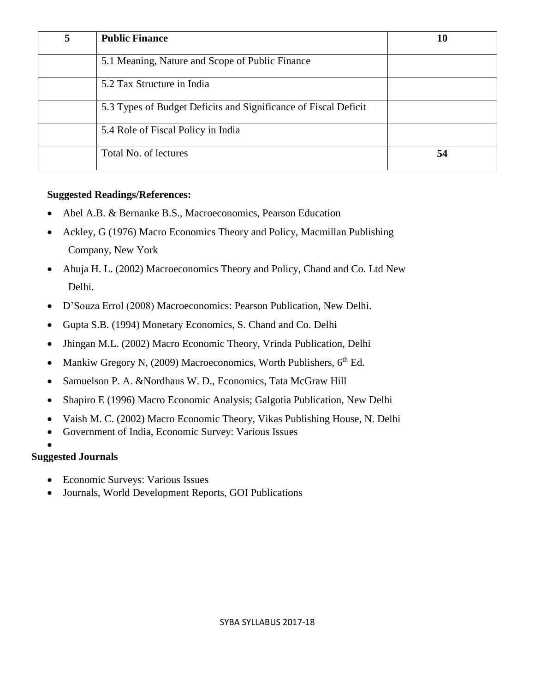| 5 | <b>Public Finance</b>                                           | 10 |
|---|-----------------------------------------------------------------|----|
|   | 5.1 Meaning, Nature and Scope of Public Finance                 |    |
|   | 5.2 Tax Structure in India                                      |    |
|   | 5.3 Types of Budget Deficits and Significance of Fiscal Deficit |    |
|   | 5.4 Role of Fiscal Policy in India                              |    |
|   | Total No. of lectures                                           | 54 |

### **Suggested Readings/References:**

- Abel A.B. & Bernanke B.S., Macroeconomics, Pearson Education
- Ackley, G (1976) Macro Economics Theory and Policy, Macmillan Publishing Company, New York
- Ahuja H. L. (2002) Macroeconomics Theory and Policy, Chand and Co. Ltd New Delhi.
- D'Souza Errol (2008) Macroeconomics: Pearson Publication, New Delhi.
- Gupta S.B. (1994) Monetary Economics, S. Chand and Co. Delhi
- Jhingan M.L. (2002) Macro Economic Theory, Vrinda Publication, Delhi
- Mankiw Gregory N,  $(2009)$  Macroeconomics, Worth Publishers,  $6<sup>th</sup>$  Ed.
- Samuelson P. A. &Nordhaus W. D., Economics, Tata McGraw Hill
- Shapiro E (1996) Macro Economic Analysis; Galgotia Publication, New Delhi
- Vaish M. C. (2002) Macro Economic Theory, Vikas Publishing House, N. Delhi
- Government of India, Economic Survey: Various Issues

### $\bullet$ **Suggested Journals**

- Economic Surveys: Various Issues
- Journals, World Development Reports, GOI Publications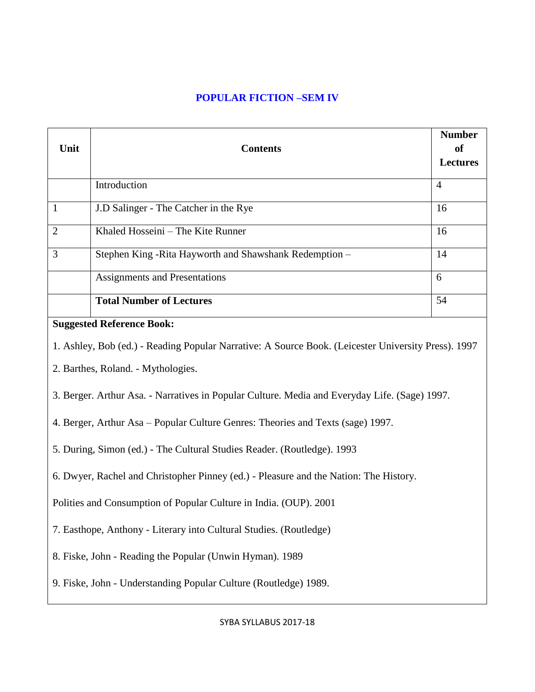## **POPULAR FICTION –SEM IV**

| Unit                                                                                          | <b>Contents</b>                                                                                     | <b>Number</b><br><sub>of</sub><br><b>Lectures</b> |
|-----------------------------------------------------------------------------------------------|-----------------------------------------------------------------------------------------------------|---------------------------------------------------|
|                                                                                               | Introduction                                                                                        | $\overline{4}$                                    |
| $\mathbf{1}$                                                                                  | J.D Salinger - The Catcher in the Rye                                                               | 16                                                |
| $\overline{2}$                                                                                | Khaled Hosseini - The Kite Runner                                                                   | 16                                                |
| $\overline{3}$                                                                                | Stephen King-Rita Hayworth and Shawshank Redemption-                                                | 14                                                |
|                                                                                               | <b>Assignments and Presentations</b>                                                                | 6                                                 |
|                                                                                               | <b>Total Number of Lectures</b>                                                                     | 54                                                |
|                                                                                               | <b>Suggested Reference Book:</b>                                                                    |                                                   |
|                                                                                               | 1. Ashley, Bob (ed.) - Reading Popular Narrative: A Source Book. (Leicester University Press). 1997 |                                                   |
|                                                                                               | 2. Barthes, Roland. - Mythologies.                                                                  |                                                   |
| 3. Berger. Arthur Asa. - Narratives in Popular Culture. Media and Everyday Life. (Sage) 1997. |                                                                                                     |                                                   |
| 4. Berger, Arthur Asa - Popular Culture Genres: Theories and Texts (sage) 1997.               |                                                                                                     |                                                   |
| 5. During, Simon (ed.) - The Cultural Studies Reader. (Routledge). 1993                       |                                                                                                     |                                                   |
| 6. Dwyer, Rachel and Christopher Pinney (ed.) - Pleasure and the Nation: The History.         |                                                                                                     |                                                   |
| Polities and Consumption of Popular Culture in India. (OUP). 2001                             |                                                                                                     |                                                   |
| 7. Easthope, Anthony - Literary into Cultural Studies. (Routledge)                            |                                                                                                     |                                                   |
| 8. Fiske, John - Reading the Popular (Unwin Hyman). 1989                                      |                                                                                                     |                                                   |
| 9. Fiske, John - Understanding Popular Culture (Routledge) 1989.                              |                                                                                                     |                                                   |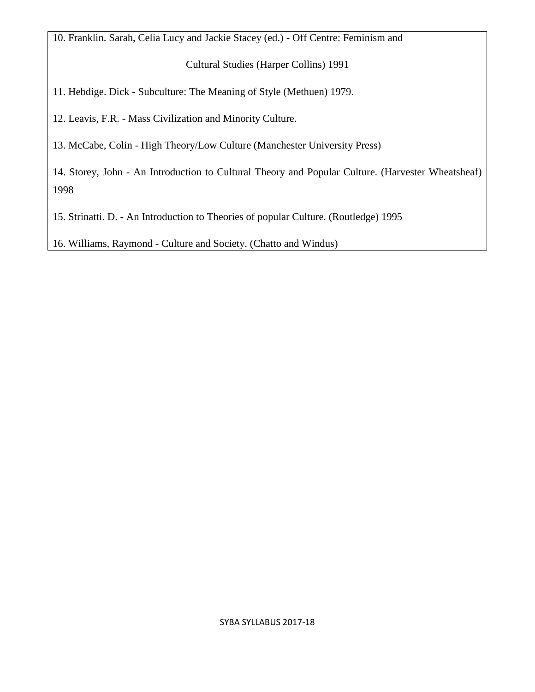10. Franklin. Sarah, Celia Lucy and Jackie Stacey (ed.) - Off Centre: Feminism and

Cultural Studies (Harper Collins) 1991

11. Hebdige. Dick - Subculture: The Meaning of Style (Methuen) 1979.

12. Leavis, F.R. - Mass Civilization and Minority Culture.

13. McCabe, Colin - High Theory/Low Culture (Manchester University Press)

14. Storey, John - An Introduction to Cultural Theory and Popular Culture. (Harvester Wheatsheaf) 1998

15. Strinatti. D. - An Introduction to Theories of popular Culture. (Routledge) 1995

16. Williams, Raymond - Culture and Society. (Chatto and Windus)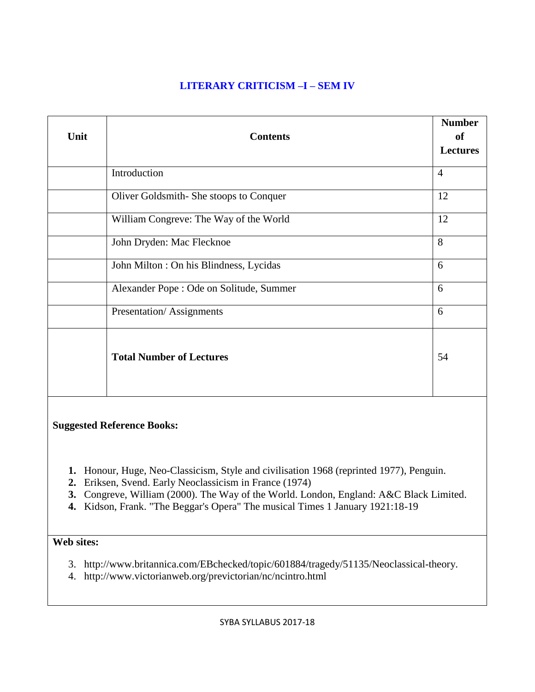### **LITERARY CRITICISM –I – SEM IV**

| Unit                              | <b>Contents</b>                          | <b>Number</b><br>of<br><b>Lectures</b> |
|-----------------------------------|------------------------------------------|----------------------------------------|
|                                   | Introduction                             | $\overline{4}$                         |
|                                   | Oliver Goldsmith-She stoops to Conquer   | 12                                     |
|                                   | William Congreve: The Way of the World   | 12                                     |
|                                   | John Dryden: Mac Flecknoe                | 8                                      |
|                                   | John Milton : On his Blindness, Lycidas  | 6                                      |
|                                   | Alexander Pope : Ode on Solitude, Summer | 6                                      |
|                                   | Presentation/Assignments                 | 6                                      |
|                                   | <b>Total Number of Lectures</b>          | 54                                     |
| <b>Suggested Reference Books:</b> |                                          |                                        |

- **1.** Honour, Huge, Neo-Classicism, Style and civilisation 1968 (reprinted 1977), Penguin.
- **2.** Eriksen, Svend. Early Neoclassicism in France (1974)
- **3.** Congreve, William (2000). The Way of the World. London, England: A&C Black Limited.
- **4.** Kidson, Frank. "The Beggar's Opera" The musical Times 1 January 1921:18-19

## **Web sites:**

- 3. http://www.britannica.com/EBchecked/topic/601884/tragedy/51135/Neoclassical-theory.
- 4. http://www.victorianweb.org/previctorian/nc/ncintro.html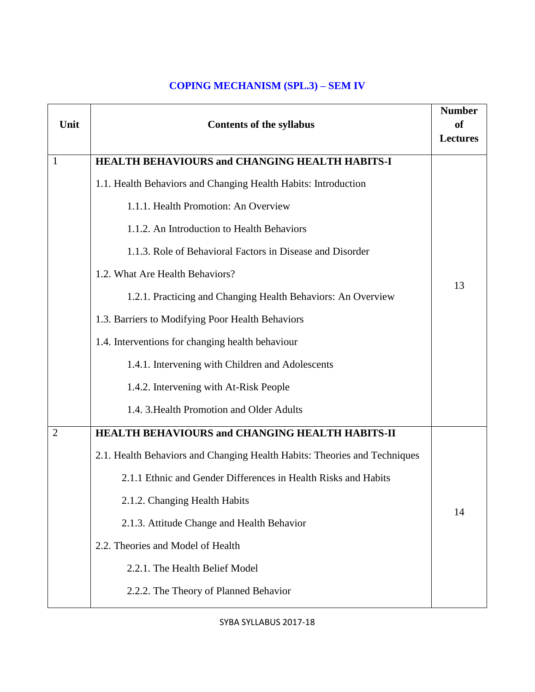### **COPING MECHANISM (SPL.3) – SEM IV**

| Unit           | <b>Contents of the syllabus</b>                                           | <b>Number</b><br>of<br><b>Lectures</b> |
|----------------|---------------------------------------------------------------------------|----------------------------------------|
| $\mathbf{1}$   | <b>HEALTH BEHAVIOURS and CHANGING HEALTH HABITS-I</b>                     |                                        |
|                | 1.1. Health Behaviors and Changing Health Habits: Introduction            |                                        |
|                | 1.1.1. Health Promotion: An Overview                                      |                                        |
|                | 1.1.2. An Introduction to Health Behaviors                                |                                        |
|                | 1.1.3. Role of Behavioral Factors in Disease and Disorder                 |                                        |
|                | 1.2. What Are Health Behaviors?                                           |                                        |
|                | 1.2.1. Practicing and Changing Health Behaviors: An Overview              | 13                                     |
|                | 1.3. Barriers to Modifying Poor Health Behaviors                          |                                        |
|                | 1.4. Interventions for changing health behaviour                          |                                        |
|                | 1.4.1. Intervening with Children and Adolescents                          |                                        |
|                | 1.4.2. Intervening with At-Risk People                                    |                                        |
|                | 1.4. 3. Health Promotion and Older Adults                                 |                                        |
| $\overline{2}$ | HEALTH BEHAVIOURS and CHANGING HEALTH HABITS-II                           |                                        |
|                | 2.1. Health Behaviors and Changing Health Habits: Theories and Techniques |                                        |
|                | 2.1.1 Ethnic and Gender Differences in Health Risks and Habits            |                                        |
|                | 2.1.2. Changing Health Habits                                             |                                        |
|                | 2.1.3. Attitude Change and Health Behavior                                | 14                                     |
|                | 2.2. Theories and Model of Health                                         |                                        |
|                | 2.2.1. The Health Belief Model                                            |                                        |
|                | 2.2.2. The Theory of Planned Behavior                                     |                                        |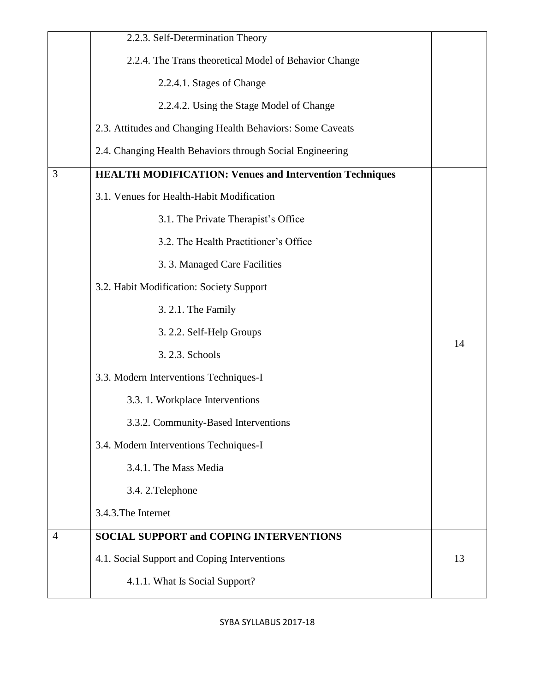|                | 2.2.3. Self-Determination Theory                               |    |
|----------------|----------------------------------------------------------------|----|
|                | 2.2.4. The Trans theoretical Model of Behavior Change          |    |
|                | 2.2.4.1. Stages of Change                                      |    |
|                | 2.2.4.2. Using the Stage Model of Change                       |    |
|                | 2.3. Attitudes and Changing Health Behaviors: Some Caveats     |    |
|                | 2.4. Changing Health Behaviors through Social Engineering      |    |
| 3              | <b>HEALTH MODIFICATION: Venues and Intervention Techniques</b> |    |
|                | 3.1. Venues for Health-Habit Modification                      |    |
|                | 3.1. The Private Therapist's Office                            |    |
|                | 3.2. The Health Practitioner's Office                          |    |
|                | 3. 3. Managed Care Facilities                                  |    |
|                | 3.2. Habit Modification: Society Support                       |    |
|                | 3. 2.1. The Family                                             |    |
|                | 3. 2.2. Self-Help Groups                                       |    |
|                | 3. 2.3. Schools                                                | 14 |
|                | 3.3. Modern Interventions Techniques-I                         |    |
|                | 3.3.1. Workplace Interventions                                 |    |
|                | 3.3.2. Community-Based Interventions                           |    |
|                | 3.4. Modern Interventions Techniques-I                         |    |
|                | 3.4.1. The Mass Media                                          |    |
|                | 3.4.2. Telephone                                               |    |
|                | 3.4.3. The Internet                                            |    |
| $\overline{4}$ | <b>SOCIAL SUPPORT and COPING INTERVENTIONS</b>                 |    |
|                | 4.1. Social Support and Coping Interventions                   | 13 |
|                | 4.1.1. What Is Social Support?                                 |    |
|                |                                                                |    |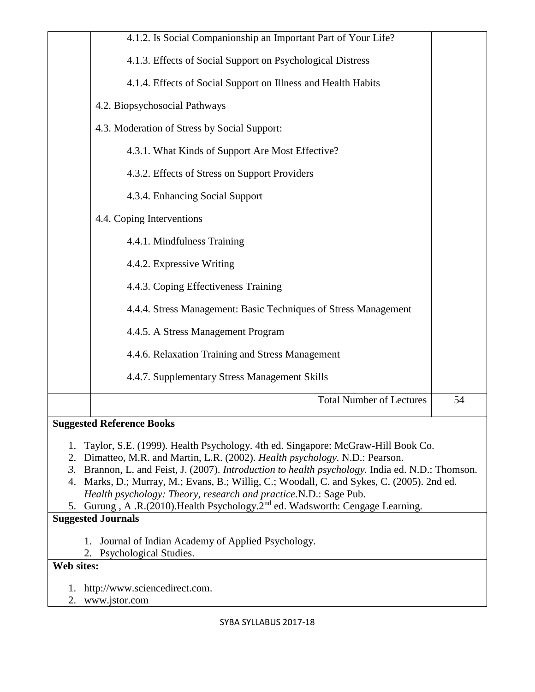|                                                                                                                                                                                                                                                                                                                                                                                                                                                                                                                                                                  | 4.1.2. Is Social Companionship an Important Part of Your Life?  |    |
|------------------------------------------------------------------------------------------------------------------------------------------------------------------------------------------------------------------------------------------------------------------------------------------------------------------------------------------------------------------------------------------------------------------------------------------------------------------------------------------------------------------------------------------------------------------|-----------------------------------------------------------------|----|
|                                                                                                                                                                                                                                                                                                                                                                                                                                                                                                                                                                  | 4.1.3. Effects of Social Support on Psychological Distress      |    |
|                                                                                                                                                                                                                                                                                                                                                                                                                                                                                                                                                                  | 4.1.4. Effects of Social Support on Illness and Health Habits   |    |
|                                                                                                                                                                                                                                                                                                                                                                                                                                                                                                                                                                  | 4.2. Biopsychosocial Pathways                                   |    |
|                                                                                                                                                                                                                                                                                                                                                                                                                                                                                                                                                                  | 4.3. Moderation of Stress by Social Support:                    |    |
|                                                                                                                                                                                                                                                                                                                                                                                                                                                                                                                                                                  | 4.3.1. What Kinds of Support Are Most Effective?                |    |
|                                                                                                                                                                                                                                                                                                                                                                                                                                                                                                                                                                  | 4.3.2. Effects of Stress on Support Providers                   |    |
|                                                                                                                                                                                                                                                                                                                                                                                                                                                                                                                                                                  | 4.3.4. Enhancing Social Support                                 |    |
|                                                                                                                                                                                                                                                                                                                                                                                                                                                                                                                                                                  | 4.4. Coping Interventions                                       |    |
|                                                                                                                                                                                                                                                                                                                                                                                                                                                                                                                                                                  | 4.4.1. Mindfulness Training                                     |    |
|                                                                                                                                                                                                                                                                                                                                                                                                                                                                                                                                                                  | 4.4.2. Expressive Writing                                       |    |
|                                                                                                                                                                                                                                                                                                                                                                                                                                                                                                                                                                  | 4.4.3. Coping Effectiveness Training                            |    |
|                                                                                                                                                                                                                                                                                                                                                                                                                                                                                                                                                                  | 4.4.4. Stress Management: Basic Techniques of Stress Management |    |
|                                                                                                                                                                                                                                                                                                                                                                                                                                                                                                                                                                  | 4.4.5. A Stress Management Program                              |    |
|                                                                                                                                                                                                                                                                                                                                                                                                                                                                                                                                                                  | 4.4.6. Relaxation Training and Stress Management                |    |
|                                                                                                                                                                                                                                                                                                                                                                                                                                                                                                                                                                  | 4.4.7. Supplementary Stress Management Skills                   |    |
|                                                                                                                                                                                                                                                                                                                                                                                                                                                                                                                                                                  | <b>Total Number of Lectures</b>                                 | 54 |
|                                                                                                                                                                                                                                                                                                                                                                                                                                                                                                                                                                  | <b>Suggested Reference Books</b>                                |    |
| Taylor, S.E. (1999). Health Psychology. 4th ed. Singapore: McGraw-Hill Book Co.<br>1.<br>Dimatteo, M.R. and Martin, L.R. (2002). Health psychology. N.D.: Pearson.<br>2.<br>Brannon, L. and Feist, J. (2007). Introduction to health psychology. India ed. N.D.: Thomson.<br>$\mathfrak{Z}$ .<br>Marks, D.; Murray, M.; Evans, B.; Willig, C.; Woodall, C. and Sykes, C. (2005). 2nd ed.<br>4.<br>Health psychology: Theory, research and practice.N.D.: Sage Pub.<br>5. Gurung, A.R.(2010). Health Psychology. 2 <sup>nd</sup> ed. Wadsworth: Cengage Learning. |                                                                 |    |
|                                                                                                                                                                                                                                                                                                                                                                                                                                                                                                                                                                  | <b>Suggested Journals</b>                                       |    |
| 1.                                                                                                                                                                                                                                                                                                                                                                                                                                                                                                                                                               | Journal of Indian Academy of Applied Psychology.                |    |
| 2.<br>Web sites:                                                                                                                                                                                                                                                                                                                                                                                                                                                                                                                                                 | Psychological Studies.                                          |    |
|                                                                                                                                                                                                                                                                                                                                                                                                                                                                                                                                                                  |                                                                 |    |
| 1.<br>2.                                                                                                                                                                                                                                                                                                                                                                                                                                                                                                                                                         | http://www.sciencedirect.com.<br>www.jstor.com                  |    |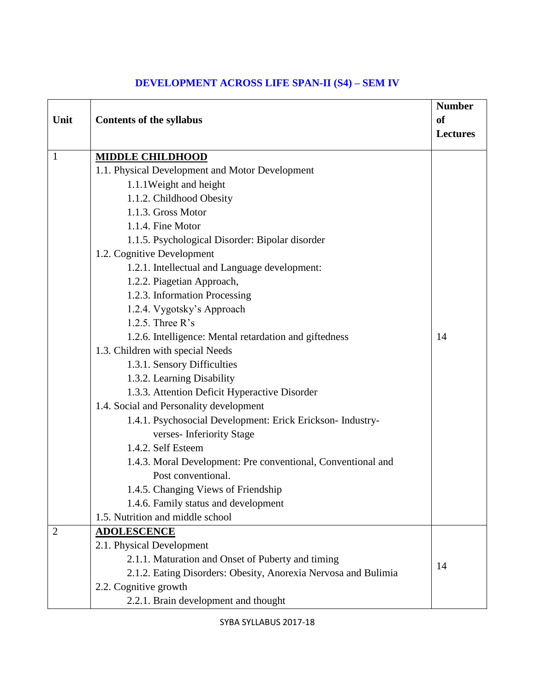| Unit           | <b>Contents of the syllabus</b>                                | <b>Number</b><br><b>of</b><br><b>Lectures</b> |
|----------------|----------------------------------------------------------------|-----------------------------------------------|
| $\mathbf{1}$   | <b>MIDDLE CHILDHOOD</b>                                        |                                               |
|                | 1.1. Physical Development and Motor Development                |                                               |
|                | 1.1.1 Weight and height                                        |                                               |
|                | 1.1.2. Childhood Obesity                                       |                                               |
|                | 1.1.3. Gross Motor                                             |                                               |
|                | 1.1.4. Fine Motor                                              |                                               |
|                | 1.1.5. Psychological Disorder: Bipolar disorder                |                                               |
|                | 1.2. Cognitive Development                                     |                                               |
|                | 1.2.1. Intellectual and Language development:                  |                                               |
|                | 1.2.2. Piagetian Approach,                                     |                                               |
|                | 1.2.3. Information Processing                                  |                                               |
|                | 1.2.4. Vygotsky's Approach                                     |                                               |
|                | 1.2.5. Three $R$ 's                                            |                                               |
|                | 1.2.6. Intelligence: Mental retardation and giftedness         | 14                                            |
|                | 1.3. Children with special Needs                               |                                               |
|                | 1.3.1. Sensory Difficulties                                    |                                               |
|                | 1.3.2. Learning Disability                                     |                                               |
|                | 1.3.3. Attention Deficit Hyperactive Disorder                  |                                               |
|                | 1.4. Social and Personality development                        |                                               |
|                | 1.4.1. Psychosocial Development: Erick Erickson- Industry-     |                                               |
|                | verses-Inferiority Stage                                       |                                               |
|                | 1.4.2. Self Esteem                                             |                                               |
|                | 1.4.3. Moral Development: Pre conventional, Conventional and   |                                               |
|                | Post conventional.                                             |                                               |
|                | 1.4.5. Changing Views of Friendship                            |                                               |
|                | 1.4.6. Family status and development                           |                                               |
|                | 1.5. Nutrition and middle school                               |                                               |
| $\overline{2}$ | <b>ADOLESCENCE</b>                                             |                                               |
|                | 2.1. Physical Development                                      |                                               |
|                | 2.1.1. Maturation and Onset of Puberty and timing              | 14                                            |
|                | 2.1.2. Eating Disorders: Obesity, Anorexia Nervosa and Bulimia |                                               |
|                | 2.2. Cognitive growth                                          |                                               |
|                | 2.2.1. Brain development and thought                           |                                               |

### **DEVELOPMENT ACROSS LIFE SPAN-II (S4) – SEM IV**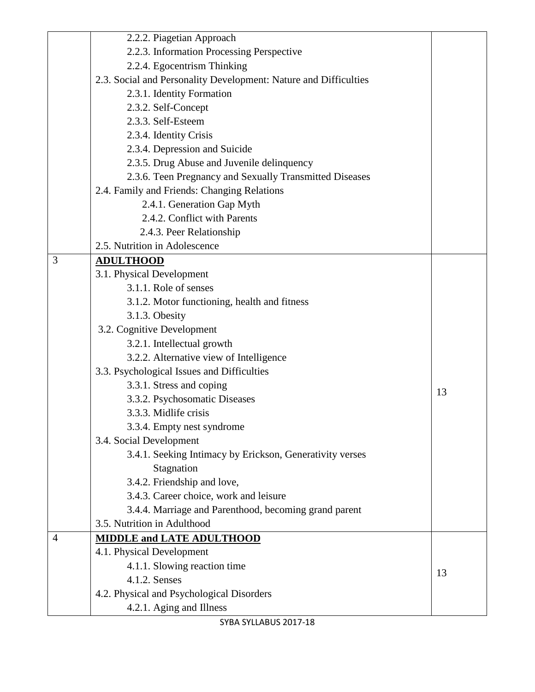|                | 2.2.2. Piagetian Approach                                        |    |
|----------------|------------------------------------------------------------------|----|
|                | 2.2.3. Information Processing Perspective                        |    |
|                | 2.2.4. Egocentrism Thinking                                      |    |
|                | 2.3. Social and Personality Development: Nature and Difficulties |    |
|                | 2.3.1. Identity Formation                                        |    |
|                | 2.3.2. Self-Concept                                              |    |
|                | 2.3.3. Self-Esteem                                               |    |
|                | 2.3.4. Identity Crisis                                           |    |
|                | 2.3.4. Depression and Suicide                                    |    |
|                | 2.3.5. Drug Abuse and Juvenile delinquency                       |    |
|                | 2.3.6. Teen Pregnancy and Sexually Transmitted Diseases          |    |
|                | 2.4. Family and Friends: Changing Relations                      |    |
|                | 2.4.1. Generation Gap Myth                                       |    |
|                | 2.4.2. Conflict with Parents                                     |    |
|                | 2.4.3. Peer Relationship                                         |    |
|                | 2.5. Nutrition in Adolescence                                    |    |
| 3              | <b>ADULTHOOD</b>                                                 |    |
|                | 3.1. Physical Development                                        |    |
|                | 3.1.1. Role of senses                                            |    |
|                | 3.1.2. Motor functioning, health and fitness                     |    |
|                | 3.1.3. Obesity                                                   |    |
|                | 3.2. Cognitive Development                                       |    |
|                | 3.2.1. Intellectual growth                                       |    |
|                | 3.2.2. Alternative view of Intelligence                          |    |
|                | 3.3. Psychological Issues and Difficulties                       |    |
|                | 3.3.1. Stress and coping                                         | 13 |
|                | 3.3.2. Psychosomatic Diseases                                    |    |
|                | 3.3.3. Midlife crisis                                            |    |
|                | 3.3.4. Empty nest syndrome                                       |    |
|                | 3.4. Social Development                                          |    |
|                | 3.4.1. Seeking Intimacy by Erickson, Generativity verses         |    |
|                | Stagnation                                                       |    |
|                | 3.4.2. Friendship and love,                                      |    |
|                | 3.4.3. Career choice, work and leisure                           |    |
|                | 3.4.4. Marriage and Parenthood, becoming grand parent            |    |
|                | 3.5. Nutrition in Adulthood                                      |    |
| $\overline{4}$ | <b>MIDDLE and LATE ADULTHOOD</b>                                 |    |
|                | 4.1. Physical Development                                        |    |
|                | 4.1.1. Slowing reaction time                                     | 13 |
|                | 4.1.2. Senses                                                    |    |
|                | 4.2. Physical and Psychological Disorders                        |    |
|                | 4.2.1. Aging and Illness                                         |    |